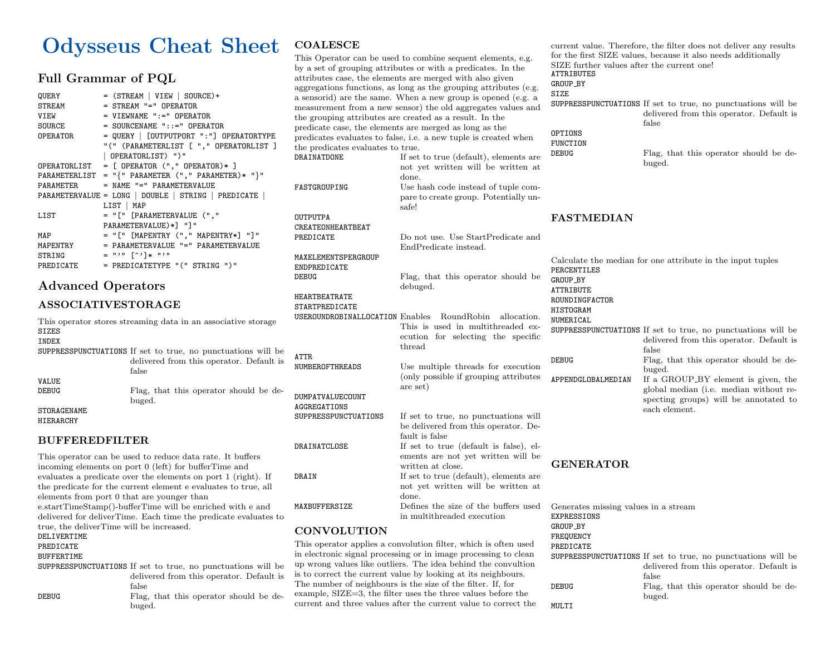# Odysseus Cheat Sheet

## Full Grammar of PQL

| QUERY     | $=$ (STREAM   VIEW   SOURCE) +                      |
|-----------|-----------------------------------------------------|
| STREAM    | = STREAM "=" OPERATOR                               |
| VIEW      | $=$ VIEWNAME $" :="$ OPERATOR                       |
| SOURCE    | $=$ SOURCENAME $"$ :: $=$ $"$ OPERATOR              |
| OPERATOR  | $=$ QUERY   [OUTPUTPORT ": "] OPERATORTYPE          |
|           | "(" (PARAMETERLIST [ "," OPERATORLIST ]             |
|           | OPERATORLIST) ")"                                   |
|           | OPERATORLIST = $[$ OPERATOR $($ "," OPERATOR $)*$ ] |
|           | PARAMETERLIST = $"\$ " PARMETER ("," PARMETER)* "\} |
| PARAMETER | = NAME "=" PARAMETERVALUE                           |
|           | PARAMETERVALUE = LONG   DOUBLE   STRING   PREDICATE |
|           | LIST   MAP                                          |
| LIST      | = "[" [PARAMETERVALUE (","                          |
|           | PARAMETERVALUE)*] "]"                               |
| MAP       | = "[" [MAPENTRY ("," MAPENTRY*] "]"                 |
| MAPENTRY  | = PARAMETERVALUE "=" PARAMETERVALUE                 |
| STRING    | = "'" [~']* "'"                                     |
| PREDICATE | = PREDICATETYPE "(" STRING ")"                      |

## Advanced Operators

## ASSOCIATIVESTORAGE

This operator stores streaming data in an associative storage SIZES INDEX SUPPRESSPUNCTUATIONS If set to true, no punctuations will be delivered from this operator. Default is false VALUE Flag, that this operator should be debuged. STORAGENAME HIERARCHY

## BUFFEREDFILTER

This operator can be used to reduce data rate. It buffers incoming elements on port 0 (left) for bufferTime and evaluates a predicate over the elements on port 1 (right). If the predicate for the current element e evaluates to true, all elements from port 0 that are younger than e.startTimeStamp()-bufferTime will be enriched with e and delivered for deliverTime. Each time the predicate evaluates to true, the deliverTime will be increased. DELIVERTIME PREDICATE BUFFERTIME SUPPRESSPUNCTUATIONS If set to true, no punctuations will be delivered from this operator. Default is false DEBUG Flag, that this operator should be debuged.

## **COALESCE**

This Operator can be used to combine sequent elements, e.g. by a set of grouping attributes or with a predicates. In the attributes case, the elements are merged with also given aggregations functions, as long as the grouping attributes (e.g. a sensorid) are the same. When a new group is opened (e.g. a measurement from a new sensor) the old aggregates values and the grouping attributes are created as a result. In the predicate case, the elements are merged as long as the predicates evaluates to false, i.e. a new tuple is created when the predicates evaluates to true.

DRAINATDONE If set to true (default), elements are not yet written will be written at done. FASTGROUPING Use hash code instead of tuple compare to create group. Potentially unsafe! OUTPUTPA CREATEONHEARTBEAT PREDICATE Do not use. Use StartPredicate and EndPredicate instead. MAXELEMENTSPERGROUP ENDPREDICATE DEBUG Flag, that this operator should be debuged. HEARTBEATRATE STARTPREDICATE USEROUNDROBINALLOCATION Enables RoundRobin allocation. This is used in multithreaded execution for selecting the specific thread ATTR NUMBEROFTHREADS Use multiple threads for execution (only possible if grouping attributes are set) DUMPATVALUECOUNT AGGREGATIONS SUPPRESSPUNCTUATIONS If set to true, no punctuations will be delivered from this operator. Default is false DRAINATCLOSE If set to true (default is false), elements are not yet written will be written at close. DRAIN If set to true (default), elements are not yet written will be written at done. MAXBUFFERSIZE Defines the size of the buffers used in multithreaded execution **CONVOLUTION** 

This operator applies a convolution filter, which is often used in electronic signal processing or in image processing to clean up wrong values like outliers. The idea behind the convultion is to correct the current value by looking at its neighbours. The number of neighbours is the size of the filter. If, for example, SIZE=3, the filter uses the three values before the current and three values after the current value to correct the

current value. Therefore, the filter does not deliver any results for the first SIZE values, because it also needs additionally SIZE further values after the current one! ATTRIBUTES GROUP BY SIZE SUPPRESSPUNCTUATIONS If set to true, no punctuations will be delivered from this operator. Default is false OPTIONS FUNCTION DEBUG Flag, that this operator should be debuged. FASTMEDIAN Calculate the median for one attribute in the input tuples PERCENTILES GROUP BY ATTRIBUTE ROUNDINGFACTOR HISTOGRAM NUMERICAL SUPPRESSPUNCTUATIONS If set to true, no punctuations will be delivered from this operator. Default is false DEBUG Flag, that this operator should be debuged. APPENDGLOBALMEDIAN If a GROUP BY element is given, the global median (i.e. median without respecting groups) will be annotated to each element. GENERATOR

Generates missing values in a stream EXPRESSIONS GROUP\_BY FREQUENCY PREDICATE

SUPPRESSPUNCTUATIONS If set to true, no punctuations will be delivered from this operator. Default is false DEBUG Flag, that this operator should be debuged.

MULTI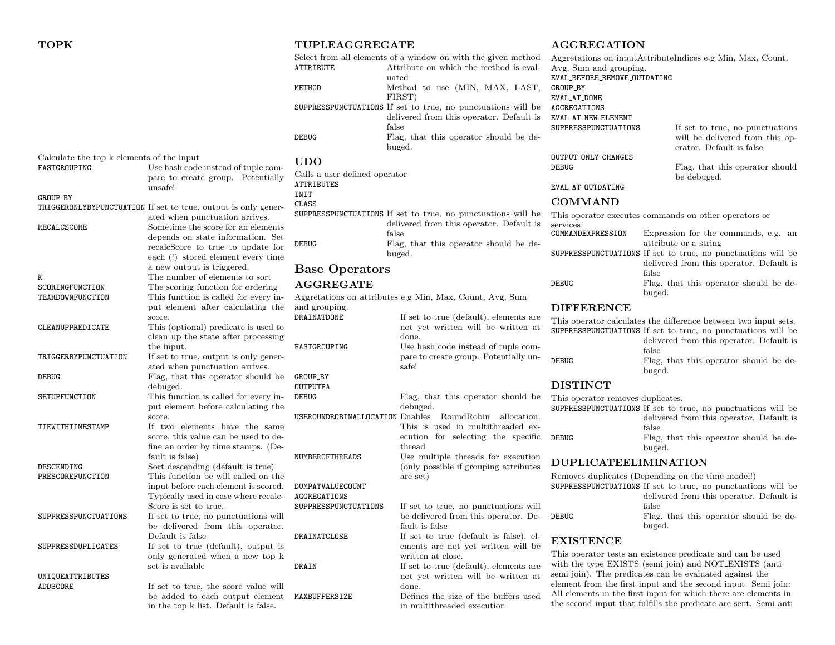|                                           |                                                                                       | <b>ATTRIBUTE</b>                                   | Select from all elements of a window on with the given method<br>Attribute on which the method is eval-<br>uated | Aggretations on input AttributeIn<br>Avg, Sum and grouping.<br>EVAL_BEFORE_REMOVE_OUTDATING |                            |
|-------------------------------------------|---------------------------------------------------------------------------------------|----------------------------------------------------|------------------------------------------------------------------------------------------------------------------|---------------------------------------------------------------------------------------------|----------------------------|
|                                           |                                                                                       | METHOD                                             | Method to use (MIN, MAX, LAST,<br>FIRST)                                                                         | GROUP_BY<br>EVAL_AT_DONE                                                                    |                            |
|                                           |                                                                                       |                                                    | SUPPRESSPUNCTUATIONS If set to true, no punctuations will be<br>delivered from this operator. Default is         | AGGREGATIONS<br>EVAL_AT_NEW_ELEMENT                                                         |                            |
|                                           |                                                                                       | <b>DEBUG</b>                                       | false<br>Flag, that this operator should be de-<br>buged.                                                        | SUPPRESSPUNCTUATIONS                                                                        | If<br>W.<br>er             |
| Calculate the top k elements of the input |                                                                                       | <b>UDO</b>                                         |                                                                                                                  | OUTPUT_ONLY_CHANGES                                                                         |                            |
| FASTGROUPING                              | Use hash code instead of tuple com-<br>pare to create group. Potentially<br>unsafe!   | Calls a user defined operator<br><b>ATTRIBUTES</b> |                                                                                                                  | <b>DEBUG</b><br>EVAL_AT_OUTDATING                                                           | F<br>$b\epsilon$           |
| GROUP_BY                                  |                                                                                       | INIT                                               |                                                                                                                  | <b>COMMAND</b>                                                                              |                            |
|                                           | TRIGGERONLYBYPUNCTUATION If set to true, output is only gener-                        | CLASS                                              | SUPPRESSPUNCTUATIONS If set to true, no punctuations will be                                                     | This operator executes commands                                                             |                            |
| RECALCSCORE                               | ated when punctuation arrives.<br>Sometime the score for an elements                  |                                                    | delivered from this operator. Default is                                                                         | services.                                                                                   |                            |
|                                           | depends on state information. Set                                                     |                                                    | false                                                                                                            | COMMANDEXPRESSION                                                                           | Expression                 |
|                                           | recalcScore to true to update for<br>each (!) stored element every time               | DEBUG                                              | Flag, that this operator should be de-<br>buged.                                                                 | SUPPRESSPUNCTUATIONS If set to t                                                            | attribute o<br>delivered f |
|                                           | a new output is triggered.<br>The number of elements to sort                          | <b>Base Operators</b>                              |                                                                                                                  |                                                                                             | false                      |
| K<br>SCORINGFUNCTION                      | The scoring function for ordering                                                     | <b>AGGREGATE</b>                                   |                                                                                                                  | <b>DEBUG</b>                                                                                | Flag, that                 |
| TEARDOWNFUNCTION                          | This function is called for every in-                                                 |                                                    | Aggretations on attributes e.g Min, Max, Count, Avg, Sum                                                         |                                                                                             | buged.                     |
|                                           | put element after calculating the                                                     | and grouping.                                      |                                                                                                                  | <b>DIFFERENCE</b>                                                                           |                            |
| CLEANUPPREDICATE                          | score.<br>This (optional) predicate is used to<br>clean up the state after processing | DRAINATDONE                                        | If set to true (default), elements are<br>not yet written will be written at<br>done.                            | This operator calculates the differ<br>SUPPRESSPUNCTUATIONS If set to t                     | delivered f                |
| TRIGGERBYPUNCTUATION                      | the input.<br>If set to true, output is only gener-                                   | FASTGROUPING                                       | Use hash code instead of tuple com-<br>pare to create group. Potentially un-                                     | <b>DEBUG</b>                                                                                | false<br>Flag, that        |
|                                           | ated when punctuation arrives.                                                        |                                                    | safe!                                                                                                            |                                                                                             | buged.                     |
| DEBUG                                     | Flag, that this operator should be<br>debuged.                                        | GROUP_BY<br><b>OUTPUTPA</b>                        |                                                                                                                  | <b>DISTINCT</b>                                                                             |                            |
| SETUPFUNCTION                             | This function is called for every in-                                                 | <b>DEBUG</b>                                       | Flag, that this operator should be                                                                               | This operator removes duplicates.                                                           |                            |
|                                           | put element before calculating the<br>score.                                          | USEROUNDROBINALLOCATION Enables                    | debuged.<br>RoundRobin allocation.                                                                               | SUPPRESSPUNCTUATIONS If set to t                                                            | delivered f                |
| TIEWITHTIMESTAMP                          | If two elements have the same                                                         |                                                    | This is used in multithreaded ex-                                                                                |                                                                                             | false                      |
|                                           | score, this value can be used to de-<br>fine an order by time stamps. (De-            |                                                    | ecution for selecting the specific<br>thread                                                                     | <b>DEBUG</b>                                                                                | Flag, that<br>buged.       |
| DESCENDING                                | fault is false)<br>Sort descending (default is true)                                  | NUMBEROFTHREADS                                    | Use multiple threads for execution<br>(only possible if grouping attributes)                                     | <b>DUPLICATEELIMINAT</b>                                                                    |                            |
| PRESCOREFUNCTION                          | This function be will called on the                                                   |                                                    | are set)                                                                                                         | Removes duplicates (Depending o                                                             |                            |
|                                           | input before each element is scored.<br>Typically used in case where recalc-          | DUMPATVALUECOUNT<br>AGGREGATIONS                   |                                                                                                                  | SUPPRESSPUNCTUATIONS If set to t                                                            | delivered f                |
|                                           | Score is set to true.                                                                 | SUPPRESSPUNCTUATIONS                               | If set to true, no punctuations will                                                                             |                                                                                             | false                      |
| SUPPRESSPUNCTUATIONS                      | If set to true, no punctuations will<br>be delivered from this operator.              |                                                    | be delivered from this operator. De-<br>fault is false                                                           | <b>DEBUG</b>                                                                                | Flag, that<br>buged.       |
| SUPPRESSDUPLICATES                        | Default is false<br>If set to true (default), output is                               | DRAINATCLOSE                                       | If set to true (default is false), el-<br>ements are not yet written will be                                     | <b>EXISTENCE</b>                                                                            |                            |
|                                           | only generated when a new top k                                                       |                                                    | written at close.                                                                                                | This operator tests an existence p                                                          |                            |
|                                           | set is available                                                                      | DRAIN                                              | If set to true (default), elements are                                                                           | with the type EXISTS (semi join)                                                            |                            |
| UNIQUEATTRIBUTES                          |                                                                                       |                                                    | not yet written will be written at                                                                               | semi join). The predicates can be<br>element from the first input and t                     |                            |
| ADDSCORE                                  | If set to true, the score value will<br>be added to each output element               | MAXBUFFERSIZE                                      | done.<br>Defines the size of the buffers used                                                                    | All elements in the first input for                                                         |                            |
|                                           | in the top k list. Default is false.                                                  |                                                    | in multithreaded execution                                                                                       | the second input that fulfills the p                                                        |                            |

TUPLEAGGREGATE

#### AGGREGATION

|                              | Aggretations on inputAttributeIndices e.g Min, Max, Count,                                     |
|------------------------------|------------------------------------------------------------------------------------------------|
| Avg, Sum and grouping.       |                                                                                                |
| EVAL_BEFORE_REMOVE_OUTDATING |                                                                                                |
| GROUP_BY                     |                                                                                                |
| EVAL_AT_DONE                 |                                                                                                |
| AGGREGATIONS                 |                                                                                                |
| EVAL_AT_NEW_ELEMENT          |                                                                                                |
| SUPPRESSPUNCTUATIONS         | If set to true, no punctuations<br>will be delivered from this op-<br>erator. Default is false |
| OUTPUT_ONLY_CHANGES          |                                                                                                |
| DEBUG                        | Flag, that this operator should                                                                |
|                              | be debuged.                                                                                    |
| EVAL_AT_OUTDATING            |                                                                                                |
| <b>COMMAND</b>               |                                                                                                |
| services.                    | This operator executes commands on other operators or                                          |
| COMMANDEXPRESSION            | Expression for the commands, e.g. an                                                           |
|                              | attribute or a string                                                                          |
|                              | SUPPRESSPUNCTUATIONS If set to true, no punctuations will be                                   |
|                              | delivered from this operator. Default is                                                       |
|                              | false                                                                                          |
| DEBUG                        | Flag, that this operator should be de-                                                         |
|                              | buged.                                                                                         |
| <b>DIFFERENCE</b>            |                                                                                                |

rence between two input sets. true, no punctuations will be

|       | ourrhead unclusive in set to thee, no punctuations will be |
|-------|------------------------------------------------------------|
|       | delivered from this operator. Default is                   |
|       | false                                                      |
| DEBUG | Flag, that this operator should be de-                     |
|       | hugod                                                      |

true, no punctuations will be from this operator. Default is at this operator should be de-

## **TION**

|       | Removes duplicates (Depending on the time model!)            |
|-------|--------------------------------------------------------------|
|       | SUPPRESSPUNCTUATIONS If set to true, no punctuations will be |
|       | delivered from this operator. Default is                     |
|       | false                                                        |
| DEBUG | Flag, that this operator should be de-                       |
|       | $_{\text{hused}}$                                            |

predicate and can be used n) and NOT EXISTS (anti evaluated against the the second input. Semi join: which there are elements in the second input that fulfills the predicate are sent. Semi anti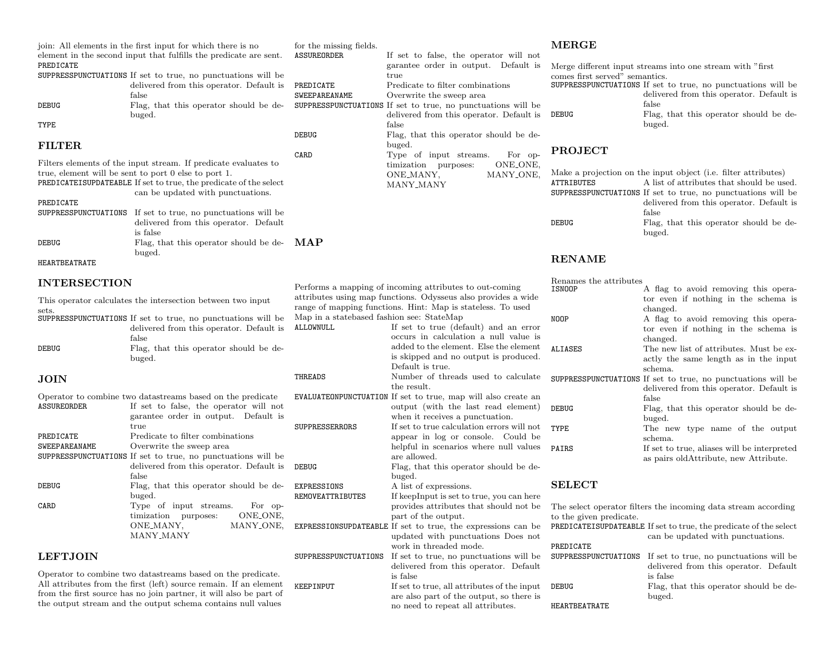|                                   | join. All elements in the first input for which there is no                                                             | for the missing fields.                   |                                                                                                                          | <b>MERGE</b>                   |                                                                                                          |
|-----------------------------------|-------------------------------------------------------------------------------------------------------------------------|-------------------------------------------|--------------------------------------------------------------------------------------------------------------------------|--------------------------------|----------------------------------------------------------------------------------------------------------|
| PREDICATE                         | element in the second input that fulfills the predicate are sent.                                                       | <b>ASSUREORDER</b>                        | If set to false, the operator will not<br>garantee order in output. Default is                                           |                                | Merge different input streams into one stream with "first"                                               |
|                                   | SUPPRESSPUNCTUATIONS If set to true, no punctuations will be                                                            |                                           | true                                                                                                                     | comes first served" semantics. |                                                                                                          |
|                                   | delivered from this operator. Default is                                                                                | PREDICATE<br>SWEEPAREANAME                | Predicate to filter combinations<br>Overwrite the sweep area                                                             |                                | SUPPRESSPUNCTUATIONS If set to true, no punctuations will be<br>delivered from this operator. Default is |
| DEBUG                             | false<br>Flag, that this operator should be de-<br>buged.                                                               |                                           | SUPPRESSPUNCTUATIONS If set to true, no punctuations will be<br>delivered from this operator. Default is                 | DEBUG                          | false<br>Flag, that this operator should be de-                                                          |
| TYPE                              |                                                                                                                         |                                           | false                                                                                                                    |                                | buged.                                                                                                   |
| <b>FILTER</b>                     |                                                                                                                         | <b>DEBUG</b>                              | Flag, that this operator should be de-<br>buged.                                                                         |                                |                                                                                                          |
|                                   |                                                                                                                         | CARD                                      | Type of input streams.<br>For op-                                                                                        | <b>PROJECT</b>                 |                                                                                                          |
|                                   | Filters elements of the input stream. If predicate evaluates to<br>true, element will be sent to port 0 else to port 1. |                                           | timization purposes:<br>ONE_ONE,<br>ONE_MANY,<br>MANY_ONE,                                                               |                                | Make a projection on the input object (i.e. filter attributes)                                           |
|                                   | PREDICATEISUPDATEABLE If set to true, the predicate of the select                                                       |                                           | MANY_MANY                                                                                                                | <b>ATTRIBUTES</b>              | A list of attributes that should be used.                                                                |
|                                   | can be updated with punctuations.                                                                                       |                                           |                                                                                                                          |                                | SUPPRESSPUNCTUATIONS If set to true, no punctuations will be                                             |
| PREDICATE<br>SUPPRESSPUNCTUATIONS | If set to true, no punctuations will be                                                                                 |                                           |                                                                                                                          |                                | delivered from this operator. Default is<br>false                                                        |
|                                   | delivered from this operator. Default<br>is false                                                                       |                                           |                                                                                                                          | <b>DEBUG</b>                   | Flag, that this operator should be de-<br>buged.                                                         |
| DEBUG                             | Flag, that this operator should be de-                                                                                  | MAP                                       |                                                                                                                          |                                |                                                                                                          |
| HEARTBEATRATE                     | buged.                                                                                                                  |                                           |                                                                                                                          | <b>RENAME</b>                  |                                                                                                          |
| <b>INTERSECTION</b>               |                                                                                                                         |                                           |                                                                                                                          | Renames the attributes         |                                                                                                          |
|                                   |                                                                                                                         |                                           | Performs a mapping of incoming attributes to out-coming<br>attributes using map functions. Odysseus also provides a wide | <b>ISNOOP</b>                  | A flag to avoid removing this opera-<br>tor even if nothing in the schema is                             |
| sets.                             | This operator calculates the intersection between two input                                                             |                                           | range of mapping functions. Hint: Map is stateless. To used                                                              |                                | changed.                                                                                                 |
|                                   | SUPPRESSPUNCTUATIONS If set to true, no punctuations will be                                                            | Map in a statebased fashion see: StateMap |                                                                                                                          | NOOP                           | A flag to avoid removing this opera-                                                                     |
|                                   | delivered from this operator. Default is<br>false                                                                       | ALLOWNULL                                 | If set to true (default) and an error<br>occurs in calculation a null value is                                           |                                | tor even if nothing in the schema is<br>changed.                                                         |
| DEBUG                             | Flag, that this operator should be de-                                                                                  |                                           | added to the element. Else the element                                                                                   | ALIASES                        | The new list of attributes. Must be ex-                                                                  |
|                                   | buged.                                                                                                                  |                                           | is skipped and no output is produced.<br>Default is true.                                                                |                                | actly the same length as in the input                                                                    |
| <b>JOIN</b>                       |                                                                                                                         | THREADS                                   | Number of threads used to calculate                                                                                      |                                | schema.<br>SUPPRESSPUNCTUATIONS If set to true, no punctuations will be                                  |
|                                   |                                                                                                                         |                                           | the result.                                                                                                              |                                | delivered from this operator. Default is                                                                 |
| <b>ASSUREORDER</b>                | Operator to combine two datastreams based on the predicate<br>If set to false, the operator will not                    |                                           | EVALUATEONPUNCTUATION If set to true, map will also create an<br>output (with the last read element)                     | <b>DEBUG</b>                   | false                                                                                                    |
|                                   | garantee order in output. Default is                                                                                    |                                           | when it receives a punctuation.                                                                                          |                                | Flag, that this operator should be de-<br>buged.                                                         |
|                                   | true                                                                                                                    | SUPPRESSERRORS                            | If set to true calculation errors will not                                                                               | TYPE                           | The new type name of the output                                                                          |
| PREDICATE<br>SWEEPAREANAME        | Predicate to filter combinations<br>Overwrite the sweep area                                                            |                                           | appear in log or console. Could be<br>helpful in scenarios where null values                                             | PAIRS                          | schema.<br>If set to true, aliases will be interpreted                                                   |
|                                   | SUPPRESSPUNCTUATIONS If set to true, no punctuations will be                                                            |                                           | are allowed.                                                                                                             |                                | as pairs oldAttribute, new Attribute.                                                                    |
|                                   | delivered from this operator. Default is                                                                                | DEBUG                                     | Flag, that this operator should be de-                                                                                   |                                |                                                                                                          |
| <b>DEBUG</b>                      | false<br>Flag, that this operator should be de-                                                                         | EXPRESSIONS                               | buged.<br>A list of expressions.                                                                                         | <b>SELECT</b>                  |                                                                                                          |
|                                   | buged.                                                                                                                  | REMOVEATTRIBUTES                          | If keepInput is set to true, you can here                                                                                |                                |                                                                                                          |
| CARD                              | Type of input streams.<br>For op-<br>ONE_ONE,                                                                           |                                           | provides attributes that should not be                                                                                   |                                | The select operator filters the incoming data stream according                                           |
|                                   | timization purposes:<br>ONE_MANY,<br>MANY_ONE,                                                                          |                                           | part of the output.<br>EXPRESSIONSUPDATEABLE If set to true, the expressions can be                                      | to the given predicate.        | PREDICATEISUPDATEABLE If set to true, the predicate of the select                                        |
|                                   | MANY_MANY                                                                                                               |                                           | updated with punctuations Does not                                                                                       |                                | can be updated with punctuations.                                                                        |
|                                   |                                                                                                                         |                                           | work in threaded mode.                                                                                                   | PREDICATE                      |                                                                                                          |
| <b>LEFTJOIN</b>                   | Operator to combine two datastreams based on the predicate.                                                             | SUPPRESSPUNCTUATIONS                      | If set to true, no punctuations will be<br>delivered from this operator. Default                                         | SUPPRESSPUNCTUATIONS           | If set to true, no punctuations will be<br>delivered from this operator. Default                         |
|                                   | All attributes from the first (left) source remain. If an element                                                       | KEEPINPUT                                 | is false<br>If set to true, all attributes of the input                                                                  | DEBUG                          | is false<br>Flag, that this operator should be de-                                                       |
|                                   | from the first source has no join partner, it will also be part of                                                      |                                           | are also part of the output, so there is                                                                                 |                                | buged.                                                                                                   |

no need to repeat all attributes.

the output stream and the output schema contains null values

## HEARTBEATRATE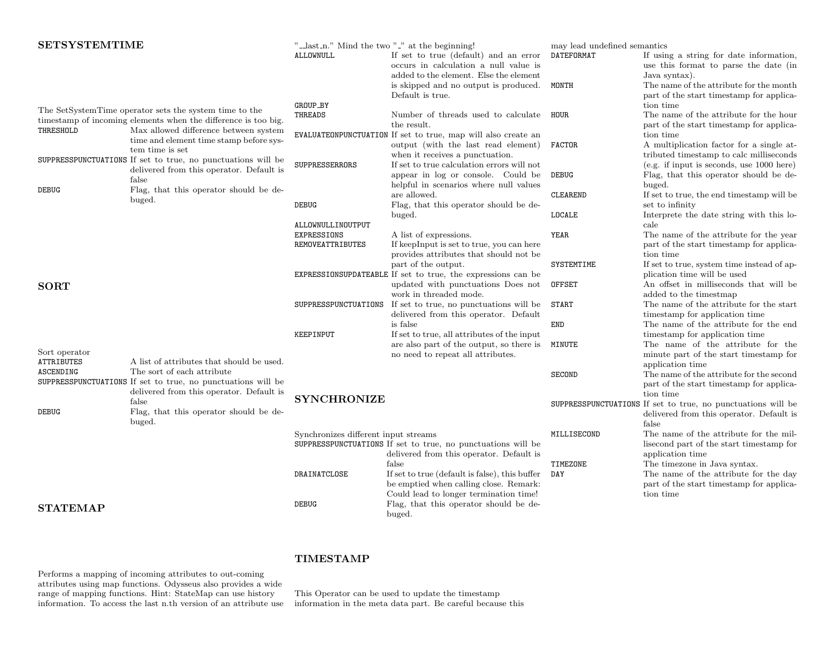| <b>SETSYSTEMTIME</b>               |                                                                                                                                        | "-last_n." Mind the two "-" at the beginning!                                       |                                                                                                                                    | may lead undefined semantics                                                                                        |                                                                                                                   |
|------------------------------------|----------------------------------------------------------------------------------------------------------------------------------------|-------------------------------------------------------------------------------------|------------------------------------------------------------------------------------------------------------------------------------|---------------------------------------------------------------------------------------------------------------------|-------------------------------------------------------------------------------------------------------------------|
|                                    |                                                                                                                                        | ALLOWNULL                                                                           | If set to true (default) and an error<br>occurs in calculation a null value is<br>added to the element. Else the element           | DATEFORMAT                                                                                                          | If using a string for date information,<br>use this format to parse the date (in<br>Java syntax).                 |
|                                    |                                                                                                                                        |                                                                                     | is skipped and no output is produced.<br>Default is true.                                                                          | MONTH                                                                                                               | The name of the attribute for the month<br>part of the start timestamp for applica-                               |
|                                    | The SetSystemTime operator sets the system time to the<br>timestamp of incoming elements when the difference is too big.               | GROUP_BY<br>THREADS                                                                 | Number of threads used to calculate<br>the result.                                                                                 | HOUR                                                                                                                | tion time<br>The name of the attribute for the hour<br>part of the start timestamp for applica-                   |
| THRESHOLD                          | Max allowed difference between system<br>time and element time stamp before sys-<br>tem time is set                                    |                                                                                     | EVALUATEONPUNCTUATION If set to true, map will also create an<br>output (with the last read element)                               | <b>FACTOR</b>                                                                                                       | tion time<br>A multiplication factor for a single at-                                                             |
|                                    | SUPPRESSPUNCTUATIONS If set to true, no punctuations will be<br>delivered from this operator. Default is                               | SUPPRESSERRORS                                                                      | when it receives a punctuation.<br>If set to true calculation errors will not                                                      |                                                                                                                     | tributed timestamp to calc milliseconds<br>(e.g. if input is seconds, use 1000 here)                              |
| <b>DEBUG</b>                       | false<br>Flag, that this operator should be de-                                                                                        |                                                                                     | appear in log or console. Could be<br>helpful in scenarios where null values<br>are allowed.                                       | <b>DEBUG</b><br><b>CLEAREND</b>                                                                                     | Flag, that this operator should be de-<br>buged.<br>If set to true, the end timestamp will be                     |
|                                    | buged.                                                                                                                                 | <b>DEBUG</b>                                                                        | Flag, that this operator should be de-<br>buged.                                                                                   | LOCALE                                                                                                              | set to infinity<br>Interprete the date string with this lo-                                                       |
|                                    |                                                                                                                                        | ALLOWNULLINOUTPUT<br>EXPRESSIONS                                                    | A list of expressions.                                                                                                             | YEAR                                                                                                                | cale<br>The name of the attribute for the year                                                                    |
|                                    |                                                                                                                                        | <b>REMOVEATTRIBUTES</b>                                                             | If keepInput is set to true, you can here<br>provides attributes that should not be                                                |                                                                                                                     | part of the start timestamp for applica-<br>tion time                                                             |
|                                    |                                                                                                                                        | part of the output.<br>EXPRESSIONSUPDATEABLE If set to true, the expressions can be | SYSTEMTIME<br>OFFSET                                                                                                               | If set to true, system time instead of ap-<br>plication time will be used<br>An offset in milliseconds that will be |                                                                                                                   |
| <b>SORT</b>                        |                                                                                                                                        | SUPPRESSPUNCTUATIONS                                                                | updated with punctuations Does not<br>work in threaded mode.<br>If set to true, no punctuations will be                            | <b>START</b>                                                                                                        | added to the timestmap<br>The name of the attribute for the start                                                 |
|                                    |                                                                                                                                        |                                                                                     | delivered from this operator. Default<br>is false                                                                                  | END                                                                                                                 | timestamp for application time<br>The name of the attribute for the end                                           |
|                                    |                                                                                                                                        | KEEPINPUT                                                                           | If set to true, all attributes of the input<br>are also part of the output, so there is                                            | MINUTE                                                                                                              | timestamp for application time<br>The name of the attribute for the                                               |
| Sort operator<br><b>ATTRIBUTES</b> | A list of attributes that should be used.                                                                                              |                                                                                     | no need to repeat all attributes.                                                                                                  |                                                                                                                     | minute part of the start timestamp for<br>application time                                                        |
| ASCENDING                          | The sort of each attribute<br>SUPPRESSPUNCTUATIONS If set to true, no punctuations will be<br>delivered from this operator. Default is |                                                                                     |                                                                                                                                    | <b>SECOND</b>                                                                                                       | The name of the attribute for the second<br>part of the start timestamp for applica-<br>tion time                 |
| <b>DEBUG</b>                       | false<br>Flag, that this operator should be de-<br>buged.                                                                              | <b>SYNCHRONIZE</b>                                                                  |                                                                                                                                    |                                                                                                                     | SUPPRESSPUNCTUATIONS If set to true, no punctuations will be<br>delivered from this operator. Default is<br>false |
|                                    |                                                                                                                                        | Synchronizes different input streams                                                | SUPPRESSPUNCTUATIONS If set to true, no punctuations will be<br>delivered from this operator. Default is                           | MILLISECOND                                                                                                         | The name of the attribute for the mil-<br>lisecond part of the start timestamp for<br>application time            |
|                                    |                                                                                                                                        |                                                                                     | false                                                                                                                              | TIMEZONE                                                                                                            | The timezone in Java syntax.                                                                                      |
|                                    |                                                                                                                                        | DRAINATCLOSE                                                                        | If set to true (default is false), this buffer<br>be emptied when calling close. Remark:<br>Could lead to longer termination time! | DAY                                                                                                                 | The name of the attribute for the day<br>part of the start timestamp for applica-<br>tion time                    |
| <b>STATEMAP</b>                    |                                                                                                                                        | <b>DEBUG</b>                                                                        | Flag, that this operator should be de-<br>buged.                                                                                   |                                                                                                                     |                                                                                                                   |

## TIMESTAMP

Performs a mapping of incoming attributes to out-coming attributes using map functions. Odysseus also provides a wide range of mapping functions. Hint: StateMap can use history information. To access the last n.th version of an attribute use

This Operator can be used to update the timestamp information in the meta data part. Be careful because this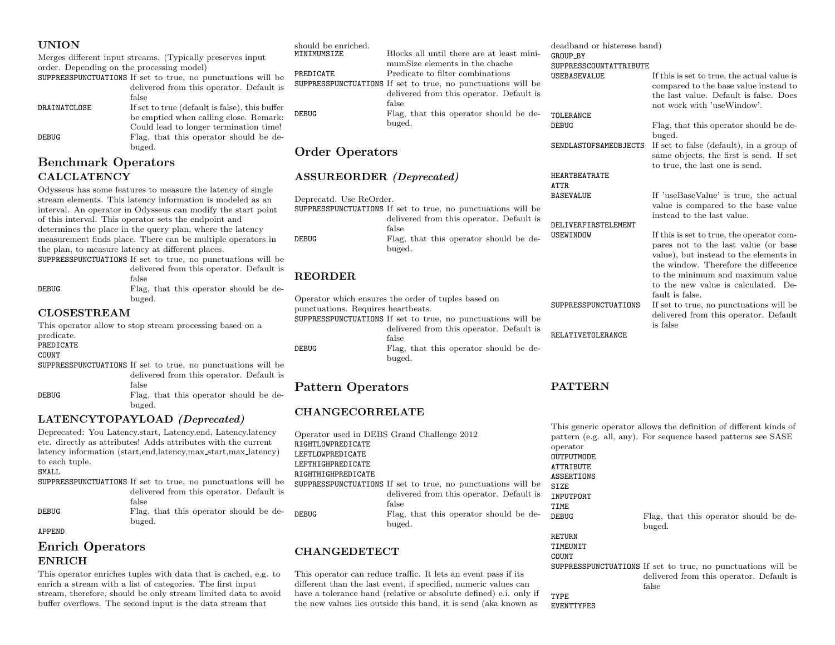#### UNION

Merges different input streams. (Typically preserves input order. Depending on the processing model)

|              | SUPPRESSPUNCTUATIONS If set to true, no punctuations will be |
|--------------|--------------------------------------------------------------|
|              | delivered from this operator. Default is                     |
|              | false                                                        |
| DRAINATCLOSE | If set to true (default is false), this buffer               |
|              | be emptied when calling close. Remark:                       |
|              | Could lead to longer termination time!                       |
| <b>DEBUG</b> | Flag, that this operator should be de-                       |
|              | buged.                                                       |

## Benchmark Operators CALCLATENCY

Odysseus has some features to measure the latency of single stream elements. This latency information is modeled as an interval. An operator in Odysseus can modify the start point of this interval. This operator sets the endpoint and determines the place in the query plan, where the latency measurement finds place. There can be multiple operators in the plan, to measure latency at different places.

SUPPRESSPUNCTUATIONS If set to true, no punctuations will be delivered from this operator. Default is

|       | false                                  |
|-------|----------------------------------------|
| DEBUG | Flag, that this operator should be de- |
|       | buged.                                 |

#### CLOSESTREAM

This operator allow to stop stream processing based on a predicate. PREDICATE COUNT SUPPRESSPUNCTUATIONS If set to true, no punctuations will be delivered from this operator. Default is false DEBUG Flag, that this operator should be debuged.

#### LATENCYTOPAYLOAD (Deprecated)

Deprecated: You Latency.start, Latency.end, Latency.latency etc. directly as attributes! Adds attributes with the current latency information (start,end,latency,max\_start,max\_latency) to each tuple.

SMALL

SUPPRESSPUNCTUATIONS If set to true, no punctuations will be delivered from this operator. Default is false

#### DEBUG Flag, that this operator should be debuged.

#### APPEND

## Enrich Operators ENRICH

This operator enriches tuples with data that is cached, e.g. to enrich a stream with a list of categories. The first input stream, therefore, should be only stream limited data to avoid buffer overflows. The second input is the data stream that

| should be enriched. |                                                              |
|---------------------|--------------------------------------------------------------|
| MINIMUMSIZE         | Blocks all until there are at least mini-                    |
|                     | mumSize elements in the chache                               |
| PREDICATE           | Predicate to filter combinations                             |
|                     | SUPPRESSPUNCTUATIONS If set to true, no punctuations will be |
|                     | delivered from this operator. Default is                     |
|                     | false                                                        |
| <b>DEBUG</b>        | Flag, that this operator should be de-                       |
|                     | buged.                                                       |
|                     |                                                              |

## Order Operators

#### ASSUREORDER (Deprecated)

| Deprecatd. Use ReOrder. |                                                                                                       | BASEVALUE                        |
|-------------------------|-------------------------------------------------------------------------------------------------------|----------------------------------|
|                         | SUPPRESSPUNCTUATIONS If set to true, no punctuations will be                                          |                                  |
| DEBUG                   | delivered from this operator. Default is<br>false<br>Flag, that this operator should be de-<br>buged. | DELIVERFIRSTELEMENT<br>USEWINDOW |

## REORDER

Operator which ensures the order of tuples based on punctuations. Requires heartbeats. SUPPRESSPUNCTUATIONS If set to true, no punctuations will be delivered from this operator. Default is false DEBUG Flag, that this operator should be debuged.

## Pattern Operators

## CHANGECORRELATE

Operator used in DEBS Grand Challenge 2012 RIGHTLOWPREDICATE LEFTLOWPREDICATE LEFTHIGHPREDICATE RIGHTHIGHPREDICATE SUPPRESSPUNCTUATIONS If set to true, no punctuations will be delivered from this operator. Default is false DEBUG Flag, that this operator should be debuged.

## CHANGEDETECT

This operator can reduce traffic. It lets an event pass if its different than the last event, if specified, numeric values can have a tolerance band (relative or absolute defined) e.i. only if the new values lies outside this band, it is send (aka known as

deadband or histerese band) GROUP\_BY SUPPRESSCOUNTATTRIBUTE USEBASEVALUE If this is set to true, the actual value is compared to the base value instead to the last value. Default is false. Does not work with 'useWindow'. TOLERANCE<br>DEBUG

Flag, that this operator should be debuged. SENDLASTOFSAMEOBJECTS If set to false (default), in a group of same objects, the first is send. If set

to true, the last one is send.

HEARTBEATRATE ATTR

BASEVALUE If 'useBaseValue' is true, the actual value is compared to the base value instead to the last value.

USEWINDOW If this is set to true, the operator compares not to the last value (or base value), but instead to the elements in the window. Therefore the difference to the minimum and maximum value to the new value is calculated. Default is false.

SUPPRESSPUNCTUATIONS If set to true, no punctuations will be delivered from this operator. Default is false

#### **PATTERN**

RELATIVETOLERANCE

This generic operator allows the definition of different kinds of pattern (e.g. all, any). For sequence based patterns see SASE operator

OUTPUTMODE ATTRIBUTE ASSERTIONS

SIZE INPUTPORT

TIME<br>DEBUG

Flag, that this operator should be debuged.

RETURN **TIMEUNIT COUNT** 

SUPPRESSPUNCTUATIONS If set to true, no punctuations will be delivered from this operator. Default is false TYPE

EVENTTYPES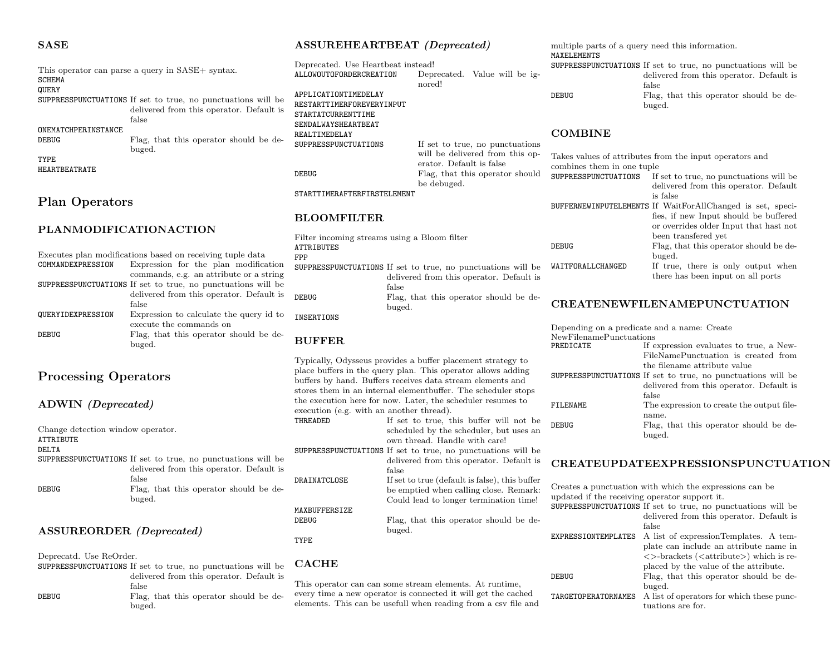#### **SASE**

This operator can parse a query in SASE+ syntax. SCHEMA QUERY SUPPRESSPUNCTUATIONS If set to true, no punctuations will be delivered from this operator. Default is false ONEMATCHPERINSTANCE DEBUG Flag, that this operator should be debuged. TYPE

Plan Operators

HEARTBEATRATE

#### PLANMODIFICATIONACTION

Executes plan modifications based on receiving tuple data<br>
COMMANDEXPRESSION Expression for the plan modifica Expression for the plan modification commands, e.g. an attribute or a string SUPPRESSPUNCTUATIONS If set to true, no punctuations will be delivered from this operator. Default is false QUERYIDEXPRESSION Expression to calculate the query id to execute the commands on DEBUG Flag, that this operator should be debuged.

## Processing Operators

#### ADWIN (Deprecated)

| Change detection window operator. |                                                              |
|-----------------------------------|--------------------------------------------------------------|
| ATTRIBUTE                         |                                                              |
| <b>DELTA</b>                      |                                                              |
|                                   | SUPPRESSPUNCTUATIONS If set to true, no punctuations will be |
|                                   | delivered from this operator. Default is                     |
|                                   | false                                                        |
| <b>DEBUG</b>                      | Flag, that this operator should be de-<br>buged.             |
|                                   |                                                              |

#### ASSUREORDER (Deprecated)

Deprecatd. Use ReOrder.

SUPPRESSPUNCTUATIONS If set to true, no punctuations will be delivered from this operator. Default is false DEBUG Flag, that this operator should be debuged.

#### ASSUREHEARTBEAT (Deprecated)

Deprecated. Use Heartbeat instead! ALLOWOUTOFORDERCREATION Deprecated. Value will be ignored! APPLICATIONTIMEDELAY RESTARTTIMERFOREVERYINPUT STARTATCURRENTTIME SENDALWAYSHEARTBEAT REALTIMEDELAY<br>SUPPRESSPUNCTUATIONS If set to true, no punctuations will be delivered from this operator. Default is false DEBUG Flag, that this operator should be debuged.

#### STARTTIMERAFTERFIRSTELEMENT

#### BLOOMFILTER

| Filter incoming streams using a Bloom filter |                                                              |  |
|----------------------------------------------|--------------------------------------------------------------|--|
| <b>ATTRIBUTES</b>                            |                                                              |  |
| FPP                                          |                                                              |  |
|                                              | SUPPRESSPUNCTUATIONS If set to true, no punctuations will be |  |
|                                              | delivered from this operator. Default is                     |  |
|                                              | false                                                        |  |
| DEBUG                                        | Flag, that this operator should be de-                       |  |
|                                              | buged.                                                       |  |

INSERTIONS

#### BUFFER

Typically, Odysseus provides a buffer placement strategy to place buffers in the query plan. This operator allows adding buffers by hand. Buffers receives data stream elements and stores them in an internal elementbuffer. The scheduler stops the execution here for now. Later, the scheduler resumes to execution (e.g. with an another thread). THREADED If set to true, this buffer will not be scheduled by the scheduler, but uses an

own thread. Handle with care! SUPPRESSPUNCTUATIONS If set to true, no punctuations will be delivered from this operator. Default is false DRAINATCLOSE If set to true (default is false), this buffer be emptied when calling close. Remark: Could lead to longer termination time! MAXBUFFERSIZE DEBUG Flag, that this operator should be debuged. TYPE

## CACHE

This operator can can some stream elements. At runtime, every time a new operator is connected it will get the cached elements. This can be usefull when reading from a csv file and multiple parts of a query need this information. MAXELEMENTS

|       | SUPPRESSPUNCTUATIONS If set to true, no punctuations will be |
|-------|--------------------------------------------------------------|
|       | delivered from this operator. Default is                     |
|       | false                                                        |
| DEBUG | Flag, that this operator should be de-                       |
|       | buged.                                                       |

#### **COMBINE**

| combines them in one tuple | Takes values of attributes from the input operators and    |
|----------------------------|------------------------------------------------------------|
| SUPPRESSPUNCTUATIONS       | If set to true, no punctuations will be                    |
|                            | delivered from this operator. Default                      |
|                            | is false                                                   |
|                            | BUFFERNEWINPUTELEMENTS If WaitForAllChanged is set, speci- |
|                            | fies, if new Input should be buffered                      |
|                            | or overrides older Input that hast not                     |
|                            | been transfered yet                                        |
| DEBUG                      | Flag, that this operator should be de-                     |
|                            | buged.                                                     |
| WAITFORALLCHANGED          | If true, there is only output when                         |
|                            | there has been input on all ports                          |
|                            |                                                            |

## CREATENEWFILENAMEPUNCTUATION

|                          | Depending on a predicate and a name. Create                  |
|--------------------------|--------------------------------------------------------------|
| NewFile namePunctuations |                                                              |
| PREDICATE                | If expression evaluates to true, a New-                      |
|                          | FileNamePunctuation is created from                          |
|                          | the filename attribute value                                 |
|                          | SUPPRESSPUNCTUATIONS If set to true, no punctuations will be |
|                          | delivered from this operator. Default is                     |
|                          | false                                                        |
| FILENAME                 | The expression to create the output file-                    |
|                          | name.                                                        |
| DEBUG                    | Flag, that this operator should be de-                       |
|                          | buged.                                                       |

#### CREATEUPDATEEXPRESSIONSPUNCTUATION

Creates a punctuation with which the expressions can be updated if the receiving operator support it. SUPPRESSPUNCTUATIONS If set to true, no punctuations will be

|                     | portrapple on ordinations in see to true, no punctuations will be |
|---------------------|-------------------------------------------------------------------|
|                     | delivered from this operator. Default is                          |
|                     | false                                                             |
| EXPRESSIONTEMPLATES | A list of expressionTemplates. A tem-                             |
|                     | plate can include an attribute name in                            |
|                     | $\langle$ >-brackets ( $\langle$ attribute>) which is re-         |
|                     | placed by the value of the attribute.                             |
| <b>DEBUG</b>        | Flag, that this operator should be de-                            |
|                     | buged.                                                            |
| TARGETOPERATORNAMES | A list of operators for which these punc-                         |
|                     | tuations are for.                                                 |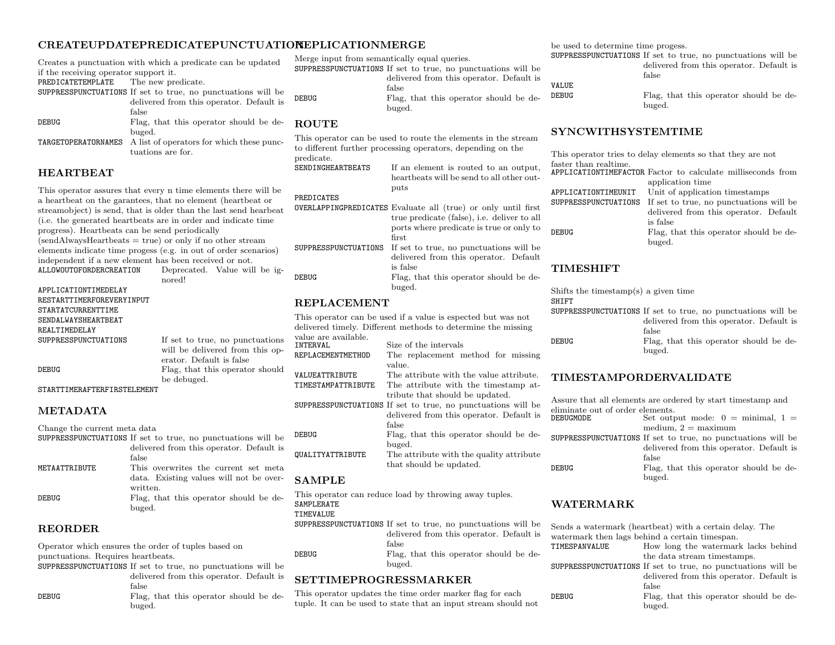#### CREATEUPDATEPREDICATEPUNCTUATION REPLICATIONMERGE

Creates a punctuation with which a predicate can be updated if the receiving operator support it. PREDICATETEMPLATE The new predicate. SUPPRESSPUNCTUATIONS If set to true, no punctuations will be delivered from this operator. Default is false DEBUG Flag, that this operator should be debuged.

TARGETOPERATORNAMES A list of operators for which these punctuations are for.

#### HEARTBEAT

This operator assures that every n time elements there will be a heartbeat on the garantees, that no element (heartbeat or streamobject) is send, that is older than the last send hearbeat (i.e. the generated heartbeats are in order and indicate time progress). Heartbeats can be send periodically  $(sendAlwaysHeartbeats = true)$  or only if no other stream elements indicate time progess (e.g. in out of order scenarios) independent if a new element has been received or not.<br>ALLOWOUTOFORDERCREATION Deprecated. Value wil Deprecated. Value will be ig-

nored!

APPLICATIONTIMEDELAY RESTARTTIMERFOREVERYINPUT STARTATCURRENTTIME SENDALWAYSHEARTBEAT REALTIMEDELAY<br>SUPPRESSPUNCTUATIONS

If set to true, no punctuations will be delivered from this operator. Default is false DEBUG Flag, that this operator should be debuged.

#### STARTTIMERAFTERFIRSTELEMENT

Change the current meta data

#### METADATA

| Unange the current meta data                                 |
|--------------------------------------------------------------|
| SUPPRESSPUNCTUATIONS If set to true, no punctuations will be |
| delivered from this operator. Default is                     |
|                                                              |
| This overwrites the current set meta                         |
| data. Existing values will not be over-                      |
| written.                                                     |
| Flag, that this operator should be de-                       |
| buged.                                                       |
|                                                              |

#### REORDER

Operator which ensures the order of tuples based on punctuations. Requires heartbeats.

- SUPPRESSPUNCTUATIONS If set to true, no punctuations will be delivered from this operator. Default is false DEBUG Flag, that this operator should be de
	- buged.

Merge input from semantically equal queries.

SUPPRESSPUNCTUATIONS If set to true, no punctuations will be delivered from this operator. Default is false DEBUG Flag, that this operator should be debuged.

#### **ROUTE**

This operator can be used to route the elements in the stream to different further processing operators, depending on the predicate.

SENDINGHEARTBEATS If an element is routed to an output, heartbeats will be send to all other outputs

#### PREDICATES

|                      | <b>OVERLAPPINGPREDICATES</b> Evaluate all (true) or only until first<br>true predicate (false), <i>i.e.</i> deliver to all<br>ports where predicate is true or only to |
|----------------------|------------------------------------------------------------------------------------------------------------------------------------------------------------------------|
|                      | first                                                                                                                                                                  |
| SUPPRESSPUNCTUATIONS | If set to true, no punctuations will be                                                                                                                                |
|                      | delivered from this operator. Default                                                                                                                                  |
|                      | is false                                                                                                                                                               |
| DEBUG                | Flag, that this operator should be de-                                                                                                                                 |
|                      | buged.                                                                                                                                                                 |

#### REPLACEMENT

This operator can be used if a value is espected but was not delivered timely. Different methods to determine the missing value are available. INTERVAL Size of the intervals<br>REPLACEMENTMETHOD The replacement n The replacement method for missing value. VALUEATTRIBUTE The attribute with the value attribute.<br>TIMESTAMPATTRIBUTE The attribute with the timestamp at-The attribute with the timestamp attribute that should be updated. SUPPRESSPUNCTUATIONS If set to true, no punctuations will be delivered from this operator. Default is false DEBUG Flag, that this operator should be debuged. QUALITYATTRIBUTE The attribute with the quality attribute that should be updated.

### SAMPLE

This operator can reduce load by throwing away tuples. SAMPLERATE TIMEVALUE

SUPPRESSPUNCTUATIONS If set to true, no punctuations will be delivered from this operator. Default is false DEBUG Flag, that this operator should be debuged.

## SETTIMEPROGRESSMARKER

This operator updates the time order marker flag for each tuple. It can be used to state that an input stream should not be used to determine time progess.

SUPPRESSPUNCTUATIONS If set to true, no punctuations will be delivered from this operator. Default is false

VALUE

DEBUG Flag, that this operator should be debuged.

### SYNCWITHSYSTEMTIME

This operator tries to delay elements so that they are not faster than realtime.

|                     | APPLICATIONTIMEFACTOR Factor to calculate milliseconds from  |
|---------------------|--------------------------------------------------------------|
|                     | application time                                             |
| APPLICATIONTIMEUNIT | Unit of application timestamps                               |
|                     | SUPPRESSPUNCTUATIONS If set to true, no punctuations will be |
|                     | delivered from this operator. Default                        |
|                     | is false                                                     |
| DEBUG               | Flag, that this operator should be de-                       |
|                     | buged.                                                       |
|                     |                                                              |

#### TIMESHIFT

| Shifts the timestamp(s) a given time |                                                              |
|--------------------------------------|--------------------------------------------------------------|
| SHIFT                                |                                                              |
|                                      | SUPPRESSPUNCTUATIONS If set to true, no punctuations will be |
|                                      | delivered from this operator. Default is                     |
|                                      | false                                                        |
| DEBUG                                | Flag, that this operator should be de-                       |
|                                      | buged.                                                       |

#### TIMESTAMPORDERVALIDATE

|                                               | Assure that all elements are ordered by start timestamp and  |
|-----------------------------------------------|--------------------------------------------------------------|
| eliminate out of order elements.<br>DEBUGMODE | Set output mode: $0 = \text{minimal}$ , $1 =$                |
|                                               | medium, $2 =$ maximum                                        |
|                                               | SUPPRESSPUNCTUATIONS If set to true, no punctuations will be |
|                                               | delivered from this operator. Default is                     |
|                                               | false                                                        |
| DEBUG                                         | Flag, that this operator should be de-                       |
|                                               | buged.                                                       |

#### WATERMARK

Sends a watermark (heartbeat) with a certain delay. The watermark then lags behind a certain timespan.<br>TIMESPANVALUE How long the watermar How long the watermark lacks behind the data stream timestamps. SUPPRESSPUNCTUATIONS If set to true, no punctuations will be delivered from this operator. Default is false DEBUG Flag, that this operator should be debuged.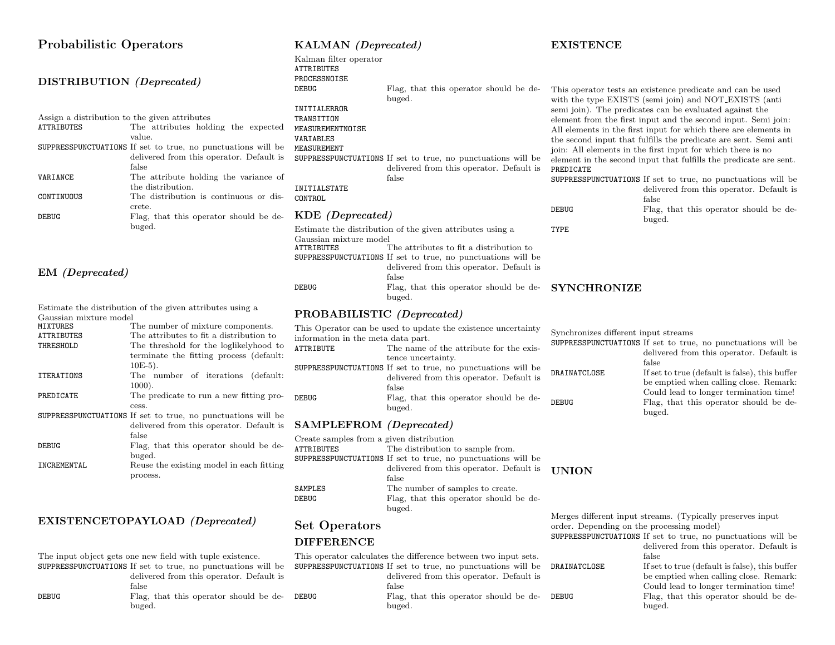#### Probabilistic Operators DISTRIBUTION (Deprecated) Assign a distribution to the given attributes ATTRIBUTES The attributes holding the expected value. SUPPRESSPUNCTUATIONS If set to true, no punctuations will be delivered from this operator. Default is false VARIANCE The attribute holding the variance of the distribution. CONTINUOUS The distribution is continuous or discrete. DEBUG Flag, that this operator should be debuged. EM (Deprecated) Estimate the distribution of the given attributes using a The number of mixture components. ATTRIBUTES The attributes to fit a distribution to terminate the fitting process (default: 10E-5). 1000). cess. delivered from this operator. Default is false buged. process. EXISTENCETOPAYLOAD (Deprecated) delivered from this operator. Default is KALMAN (Deprecated) Kalman filter operator ATTRIBUTES PROCESSNOISE DEBUG Flag, that this operator should be debuged. INITIALERROR TRANSITION MEASUREMENTNOISE VARIABLES MEASUREMENT SUPPRESSPUNCTUATIONS If set to true, no punctuations will be delivered from this operator. Default is false INITIALSTATE CONTROL KDE (Deprecated) Estimate the distribution of the given attributes using a Gaussian mixture model<br>ATTRIBUTES The attributes to fit a distribution to SUPPRESSPUNCTUATIONS If set to true, no punctuations will be delivered from this operator. Default is false DEBUG Flag, that this operator should be debuged. PROBABILISTIC (Deprecated) This Operator can be used to update the existence uncertainty information in the meta data part.<br>ATTRIBUTE The name The name of the attribute for the existence uncertainty. SUPPRESSPUNCTUATIONS If set to true, no punctuations will be delivered from this operator. Default is false DEBUG Flag, that this operator should be debuged. SAMPLEFROM (Deprecated) Create samples from a given distribution ATTRIBUTES The distribution to sample from. SUPPRESSPUNCTUATIONS If set to true, no punctuations will be delivered from this operator. Default is false SAMPLES The number of samples to create. DEBUG Flag, that this operator should be debuged. Set Operators DIFFERENCE This operator calculates the difference between two input sets. SUPPRESSPUNCTUATIONS If set to true, no punctuations will be delivered from this operator. Default is PREDICATE TYPE SYNCHRONIZE SUPPRESSP DRAINATCL UNION

Gaussian mixture model<br>MIXTURES

| ATTRIBUTES  | The attributes to fit a distribution to                      |  |
|-------------|--------------------------------------------------------------|--|
| THRESHOLD   | The threshold for the loglikelyhood to                       |  |
|             | terminate the fitting process (default:                      |  |
|             | $10E-5$ ).                                                   |  |
| ITERATIONS  | The number of iterations (default:                           |  |
|             | $1000$ ).                                                    |  |
| PREDICATE   | The predicate to run a new fitting pro-                      |  |
|             | cess.                                                        |  |
|             | SUPPRESSPUNCTUATIONS If set to true, no punctuations will be |  |
|             | delivered from this operator. Default is                     |  |
|             | false                                                        |  |
| DEBUG       | Flag, that this operator should be de-                       |  |
|             | buged.                                                       |  |
| INCREMENTAL | Reuse the existing model in each fitting                     |  |
|             |                                                              |  |

The input object gets one new field with tuple existence. SUPPRESSPUNCTUATIONS If set to true, no punctuations will be false DEBUG Flag, that this operator should be de- DEBUG buged.

## **EXISTENCE**

| Create samples from a given distribution                    |              |
|-------------------------------------------------------------|--------------|
| The distribution to sample from.                            |              |
| UPPRESSPUNCTUATIONS If set to true, no punctuations will be |              |
| delivered from this operator. Default is                    |              |
| false                                                       |              |
| The number of samples to create.                            |              |
| Flag, that this operator should be de-                      |              |
| buged.                                                      | $\cdots$     |
|                                                             | <b>UNION</b> |

false Flag, that this operator should be debuged. DEBUG Flag, that this operator should be de-

This operator tests an existence predicate and can be used with the type EXISTS (semi join) and NOT EXISTS (anti semi join). The predicates can be evaluated against the element from the first input and the second input. Semi join: All elements in the first input for which there are elements in the second input that fulfills the predicate are sent. Semi anti join: All elements in the first input for which there is no element in the second input that fulfills the predicate are sent.

|       | SUPPRESSPUNCTUATIONS If set to true, no punctuations will be |
|-------|--------------------------------------------------------------|
|       | delivered from this operator. Default is                     |
|       | false                                                        |
| DEBUG | Flag, that this operator should be de-                       |
|       | buged.                                                       |
|       |                                                              |

Synchronizes different input streams

|              | SUPPRESSPUNCTUATIONS If set to true, no punctuations will be |
|--------------|--------------------------------------------------------------|
|              | delivered from this operator. Default is                     |
|              | false                                                        |
| DRAINATCLOSE | If set to true (default is false), this buffer               |
|              | be emptied when calling close. Remark:                       |
|              | Could lead to longer termination time!                       |
| DEBUG        | Flag, that this operator should be de-                       |
|              | buged.                                                       |

Merges different input streams. (Typically preserves input order. Depending on the processing model)

buged.

SUPPRESSPUNCTUATIONS If set to true, no punctuations will be delivered from this operator. Default is false DRAINATCLOSE If set to true (default is false), this buffer be emptied when calling close. Remark: Could lead to longer termination time!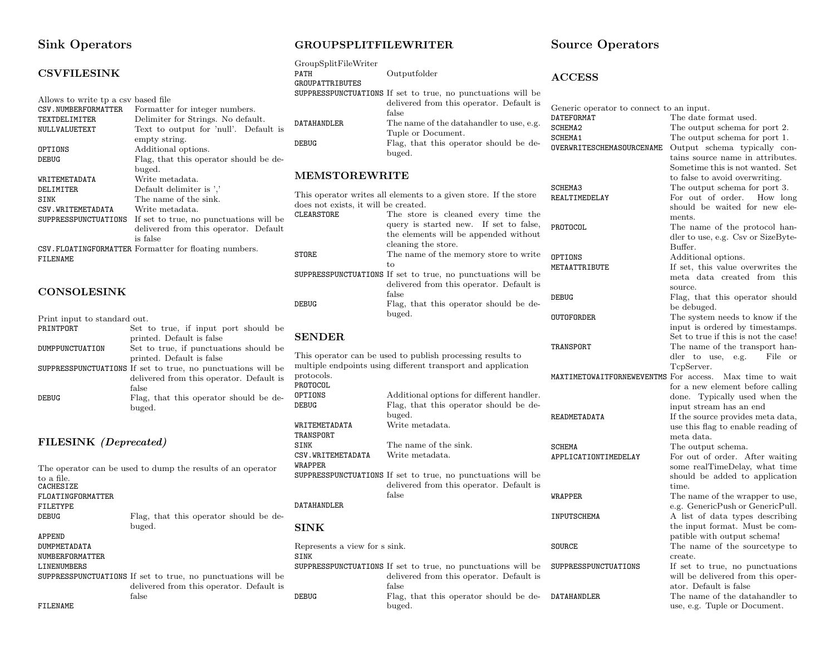## Sink Operators

#### **CSVFILESINK**

| Allows to write tp a csy based file |                                                       |
|-------------------------------------|-------------------------------------------------------|
| CSV. NUMBERFORMATTER                | Formatter for integer numbers.                        |
| <b>TEXTDELIMITER</b>                | Delimiter for Strings. No default.                    |
| NULLVALUETEXT                       | Text to output for 'null'. Default is                 |
|                                     | empty string.                                         |
| OPTIONS                             | Additional options.                                   |
| DEBUG                               | Flag, that this operator should be de-                |
|                                     | buged.                                                |
| WRITEMETADATA                       | Write metadata.                                       |
| DELIMITER                           | Default delimiter is '.'                              |
| <b>SINK</b>                         | The name of the sink.                                 |
| CSV. WRITEMETADATA                  | Write metadata.                                       |
| SUPPRESSPUNCTUATIONS                | If set to true, no punctuations will be               |
|                                     | delivered from this operator. Default                 |
|                                     | is false                                              |
|                                     | CSV.FLOATINGFORMATTER Formatter for floating numbers. |

**CONSOLESINK** 

FILENAME

#### Print input to standard out.<br>PRINTPORT Set 1 Set to true, if input port should printed. Default is false DUMPPUNCTUATION Set to true, if punctuations should printed. Default is false SUPPRESSPUNCTUATIONS If set to true, no punctuations will delivered from this operator. Default false DEBUG Flag, that this operator should be debuged.

#### FILESINK (Deprecated)

The operator can be used to dump the results of an operator to a file. **CACHESIZE** FLOATINGFORMATTER FILETYPE<br>DEBUG Flag, that this operator should be d buged. APPEND DUMPMETADATA NUMBERFORMATTER LINENUMBERS SUPPRESSPUNCTUATIONS If set to true, no punctuations will delivered from this operator. Default false FILENAME

### GROUPSPLITFILEWRITER

GroupSplitFileWriter

|     | PATH                                 | Outputfolder                                                                    | ${\bf ACCESS}$                           |                                                                    |
|-----|--------------------------------------|---------------------------------------------------------------------------------|------------------------------------------|--------------------------------------------------------------------|
|     | <b>GROUPATTRIBUTES</b>               |                                                                                 |                                          |                                                                    |
|     |                                      | SUPPRESSPUNCTUATIONS If set to true, no punctuations will be                    |                                          |                                                                    |
|     |                                      | delivered from this operator. Default is                                        | Generic operator to connect to an input. |                                                                    |
|     |                                      | false                                                                           | DATEFORMAT                               | The date format used.                                              |
| is  | DATAHANDLER                          | The name of the data handler to use, e.g.                                       | SCHEMA2                                  | The output schema for port 2.                                      |
|     |                                      | Tuple or Document.                                                              | SCHEMA1                                  | The output schema for port 1.                                      |
|     | <b>DEBUG</b>                         | Flag, that this operator should be de-                                          | OVERWRITESCHEMASOURCENAME                | Output schema typically co                                         |
| le- |                                      | buged.                                                                          |                                          | tains source name in attribute                                     |
|     |                                      |                                                                                 |                                          | Sometime this is not wanted. S                                     |
|     | <b>MEMSTOREWRITE</b>                 |                                                                                 |                                          | to false to avoid overwriting.                                     |
|     |                                      |                                                                                 | SCHEMA3                                  | The output schema for port 3.                                      |
|     |                                      | This operator writes all elements to a given store. If the store                | REALTIMEDELAY                            | For out of order.<br>How lon                                       |
|     | does not exists, it will be created. |                                                                                 |                                          | should be waited for new el                                        |
| be  | CLEARSTORE                           | The store is cleaned every time the                                             |                                          | ments.                                                             |
| ılt |                                      | query is started new. If set to false,<br>the elements will be appended without | PROTOCOL                                 | The name of the protocol ha                                        |
|     |                                      | cleaning the store.                                                             |                                          | dler to use, e.g. Csv or SizeByt                                   |
|     | <b>STORE</b>                         | The name of the memory store to write                                           |                                          | Buffer.                                                            |
|     |                                      | to                                                                              | OPTIONS                                  | Additional options.                                                |
|     |                                      | SUPPRESSPUNCTUATIONS If set to true, no punctuations will be                    | METAATTRIBUTE                            | If set, this value overwrites th                                   |
|     |                                      | delivered from this operator. Default is                                        |                                          | meta data created from the                                         |
|     |                                      | false                                                                           |                                          | source.                                                            |
|     | <b>DEBUG</b>                         | Flag, that this operator should be de-                                          | <b>DEBUG</b>                             | Flag, that this operator shou                                      |
|     |                                      | buged.                                                                          | <b>OUTOFORDER</b>                        | be debuged.                                                        |
|     |                                      |                                                                                 |                                          | The system needs to know if the                                    |
| be  | <b>SENDER</b>                        |                                                                                 |                                          | input is ordered by timestamp                                      |
|     |                                      |                                                                                 | TRANSPORT                                | Set to true if this is not the cas<br>The name of the transport ha |
| be  |                                      | This operator can be used to publish processing results to                      |                                          | dler to use, e.g.<br>File                                          |
|     |                                      | multiple endpoints using different transport and application                    |                                          | TcpServer.                                                         |
| be  | protocols.                           |                                                                                 |                                          | MAXTIMETOWAITFORNEWEVENTMS For access. Max time to wa              |
| is  | PROTOCOL                             |                                                                                 |                                          | for a new element before callin                                    |
| le- | OPTIONS                              | Additional options for different handler.                                       |                                          | done. Typically used when tl                                       |
|     | <b>DEBUG</b>                         | Flag, that this operator should be de-                                          |                                          | input stream has an end                                            |
|     |                                      | buged.                                                                          | READMETADATA                             | If the source provides meta dat                                    |
|     | WRITEMETADATA                        | Write metadata.                                                                 |                                          | use this flag to enable reading                                    |
|     | TRANSPORT                            |                                                                                 |                                          | meta data.                                                         |
|     | SINK                                 | The name of the sink.                                                           | <b>SCHEMA</b>                            | The output schema.                                                 |
|     | CSV.WRITEMETADATA                    | Write metadata.                                                                 | APPLICATIONTIMEDELAY                     | For out of order. After waitin                                     |
|     | WRAPPER                              |                                                                                 |                                          | some realTimeDelay, what tin                                       |
|     |                                      | SUPPRESSPUNCTUATIONS If set to true, no punctuations will be                    |                                          | should be added to application                                     |
|     |                                      | delivered from this operator. Default is                                        |                                          | time.                                                              |
|     |                                      | false                                                                           | WRAPPER                                  | The name of the wrapper to us                                      |
|     | DATAHANDLER                          |                                                                                 |                                          | e.g. GenericPush or GenericPu                                      |
| le- |                                      |                                                                                 | INPUTSCHEMA                              | A list of data types describing                                    |
|     | <b>SINK</b>                          |                                                                                 |                                          | the input format. Must be con                                      |
|     |                                      |                                                                                 |                                          | patible with output schema!                                        |
|     | Represents a view for s sink.        |                                                                                 | SOURCE                                   | The name of the sourcetype                                         |
|     | <b>SINK</b>                          |                                                                                 |                                          | create.                                                            |
|     |                                      | SUPPRESSPUNCTUATIONS If set to true, no punctuations will be                    | SUPPRESSPUNCTUATIONS                     | If set to true, no punctuation                                     |
| be  |                                      | delivered from this operator. Default is                                        |                                          | will be delivered from this ope                                    |
| is  |                                      | false                                                                           |                                          | ator. Default is false                                             |
|     | <b>DEBUG</b>                         | Flag, that this operator should be de-                                          | DATAHANDLER                              | The name of the datahandler                                        |
|     |                                      | buged.                                                                          |                                          | use, e.g. Tuple or Document.                                       |
|     |                                      |                                                                                 |                                          |                                                                    |

## Source Operators

The output schema for port 1. Output schema typically contains source name in attributes. Sometime this is not wanted. Set to false to avoid overwriting. The output schema for port 3. For out of order. How long should be waited for new elements. The name of the protocol handler to use, e.g. Csv or SizeByte-Buffer. Additional options. If set, this value overwrites the meta data created from this source. Flag, that this operator should be debuged. The system needs to know if the input is ordered by timestamps. Set to true if this is not the case! The name of the transport handler to use, e.g. File or TcpServer. For access. Max time to wait for a new element before calling done. Typically used when the input stream has an end If the source provides meta data, use this flag to enable reading of meta data. The output schema. For out of order. After waiting some realTimeDelay, what time should be added to application time. The name of the wrapper to use, e.g. GenericPush or GenericPull. A list of data types describing the input format. Must be compatible with output schema! The name of the sourcetype to create. If set to true, no punctuations will be delivered from this operator. Default is false The name of the datahandler to use, e.g. Tuple or Document.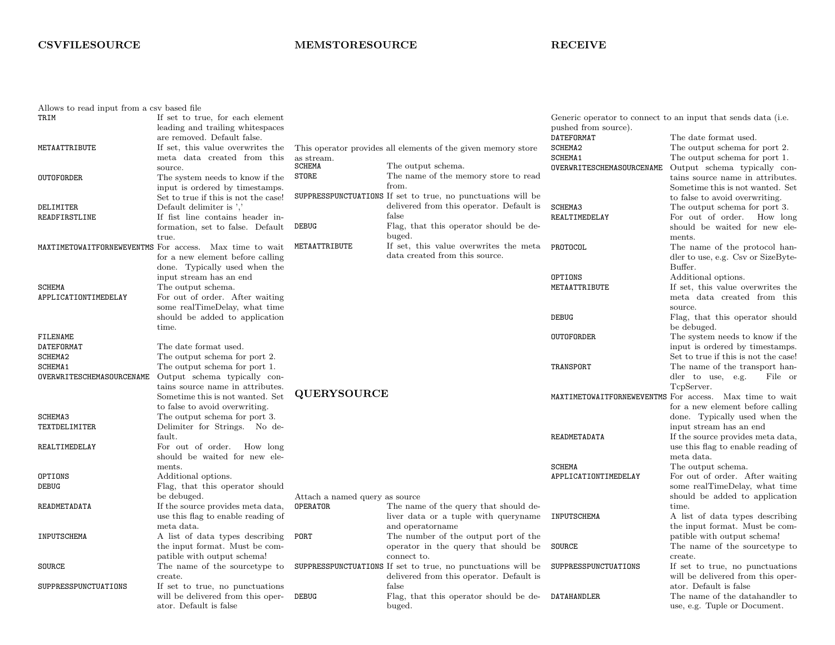## **CSVFILESOURCE**

## MEMSTORESOURCE

## RECEIVE

| Allows to read input from a csy based file |                                                                      |                                |                                                               |                           |                                                                         |
|--------------------------------------------|----------------------------------------------------------------------|--------------------------------|---------------------------------------------------------------|---------------------------|-------------------------------------------------------------------------|
| TRIM                                       | If set to true, for each element<br>leading and trailing whitespaces |                                |                                                               | pushed from source).      | Generic operator to connect to an input that sends data (i.e.           |
|                                            | are removed. Default false.                                          |                                |                                                               | DATEFORMAT                | The date format used.                                                   |
| METAATTRIBUTE                              | If set, this value overwrites the                                    |                                | This operator provides all elements of the given memory store | SCHEMA2                   | The output schema for port 2.                                           |
|                                            | meta data created from this                                          | as stream.                     |                                                               | SCHEMA1                   | The output schema for port 1.                                           |
|                                            | source.                                                              | SCHEMA                         | The output schema.                                            | OVERWRITESCHEMASOURCENAME | Output schema typically con-                                            |
| <b>OUTOFORDER</b>                          | The system needs to know if the                                      | <b>STORE</b>                   | The name of the memory store to read                          |                           | tains source name in attributes.                                        |
|                                            | input is ordered by timestamps.                                      |                                | from.                                                         |                           | Sometime this is not wanted. Set                                        |
|                                            | Set to true if this is not the case!                                 |                                | SUPPRESSPUNCTUATIONS If set to true, no punctuations will be  |                           | to false to avoid overwriting.                                          |
| DELIMITER                                  | Default delimiter is ','                                             |                                | delivered from this operator. Default is                      | SCHEMA3                   | The output schema for port 3.                                           |
| READFIRSTLINE                              | If fist line contains header in-                                     |                                | false                                                         | REALTIMEDELAY             | For out of order. How long                                              |
|                                            | formation, set to false. Default                                     | <b>DEBUG</b>                   | Flag, that this operator should be de-<br>buged.              |                           | should be waited for new ele-<br>ments.                                 |
|                                            | true.<br>MAXTIMETOWAITFORNEWEVENTMS For access. Max time to wait     | METAATTRIBUTE                  | If set, this value overwrites the meta                        | PROTOCOL                  | The name of the protocol han-                                           |
|                                            | for a new element before calling                                     |                                | data created from this source.                                |                           | dler to use, e.g. Csv or SizeByte-                                      |
|                                            | done. Typically used when the                                        |                                |                                                               |                           | Buffer.                                                                 |
|                                            | input stream has an end                                              |                                |                                                               | OPTIONS                   | Additional options.                                                     |
| <b>SCHEMA</b>                              | The output schema.                                                   |                                |                                                               | METAATTRIBUTE             | If set, this value overwrites the                                       |
| APPLICATIONTIMEDELAY                       | For out of order. After waiting                                      |                                |                                                               |                           | meta data created from this                                             |
|                                            | some realTimeDelay, what time                                        |                                |                                                               |                           | source.                                                                 |
|                                            | should be added to application                                       |                                |                                                               | <b>DEBUG</b>              | Flag, that this operator should                                         |
|                                            | time.                                                                |                                |                                                               |                           | be debuged.                                                             |
| FILENAME                                   |                                                                      |                                |                                                               | <b>OUTOFORDER</b>         | The system needs to know if the                                         |
| DATEFORMAT                                 | The date format used.                                                |                                |                                                               |                           | input is ordered by timestamps.                                         |
| SCHEMA2                                    | The output schema for port 2.                                        |                                |                                                               |                           | Set to true if this is not the case!                                    |
| SCHEMA1                                    | The output schema for port 1.                                        |                                |                                                               | TRANSPORT                 | The name of the transport han-                                          |
| OVERWRITESCHEMASOURCENAME                  | Output schema typically con-                                         |                                |                                                               |                           | dler to use, e.g.<br>File or                                            |
|                                            | tains source name in attributes.                                     | <b>QUERYSOURCE</b>             |                                                               |                           | TcpServer.                                                              |
|                                            | Sometime this is not wanted. Set                                     |                                |                                                               |                           | MAXTIMETOWAITFORNEWEVENTMS For access. Max time to wait                 |
|                                            | to false to avoid overwriting.                                       |                                |                                                               |                           | for a new element before calling                                        |
| SCHEMA3                                    | The output schema for port 3.                                        |                                |                                                               |                           | done. Typically used when the                                           |
| TEXTDELIMITER                              | Delimiter for Strings. No de-                                        |                                |                                                               |                           | input stream has an end                                                 |
|                                            | fault.                                                               |                                |                                                               | READMETADATA              | If the source provides meta data,<br>use this flag to enable reading of |
| REALTIMEDELAY                              | For out of order. How long<br>should be waited for new ele-          |                                |                                                               |                           | meta data.                                                              |
|                                            | ments.                                                               |                                |                                                               | <b>SCHEMA</b>             | The output schema.                                                      |
| OPTIONS                                    | Additional options.                                                  |                                |                                                               | APPLICATIONTIMEDELAY      | For out of order. After waiting                                         |
| <b>DEBUG</b>                               | Flag, that this operator should                                      |                                |                                                               |                           | some realTimeDelay, what time                                           |
|                                            | be debuged.                                                          | Attach a named query as source |                                                               |                           | should be added to application                                          |
| READMETADATA                               | If the source provides meta data,                                    | <b>OPERATOR</b>                | The name of the query that should de-                         |                           | time.                                                                   |
|                                            | use this flag to enable reading of                                   |                                | liver data or a tuple with queryname                          | INPUTSCHEMA               | A list of data types describing                                         |
|                                            | meta data.                                                           |                                | and operatorname                                              |                           | the input format. Must be com-                                          |
| INPUTSCHEMA                                | A list of data types describing                                      | PORT                           | The number of the output port of the                          |                           | patible with output schema!                                             |
|                                            | the input format. Must be com-                                       |                                | operator in the query that should be                          | SOURCE                    | The name of the sourcetype to                                           |
|                                            | patible with output schema!                                          |                                | connect to.                                                   |                           | create.                                                                 |
| <b>SOURCE</b>                              | The name of the sourcetype to                                        |                                | SUPPRESSPUNCTUATIONS If set to true, no punctuations will be  | SUPPRESSPUNCTUATIONS      | If set to true, no punctuations                                         |
|                                            | create.                                                              |                                | delivered from this operator. Default is                      |                           | will be delivered from this oper-                                       |
| SUPPRESSPUNCTUATIONS                       | If set to true, no punctuations                                      |                                | false                                                         |                           | ator. Default is false                                                  |
|                                            | will be delivered from this oper-                                    | <b>DEBUG</b>                   | Flag, that this operator should be de-                        | DATAHANDLER               | The name of the datahandler to                                          |
|                                            | ator. Default is false                                               |                                | buged.                                                        |                           | use, e.g. Tuple or Document.                                            |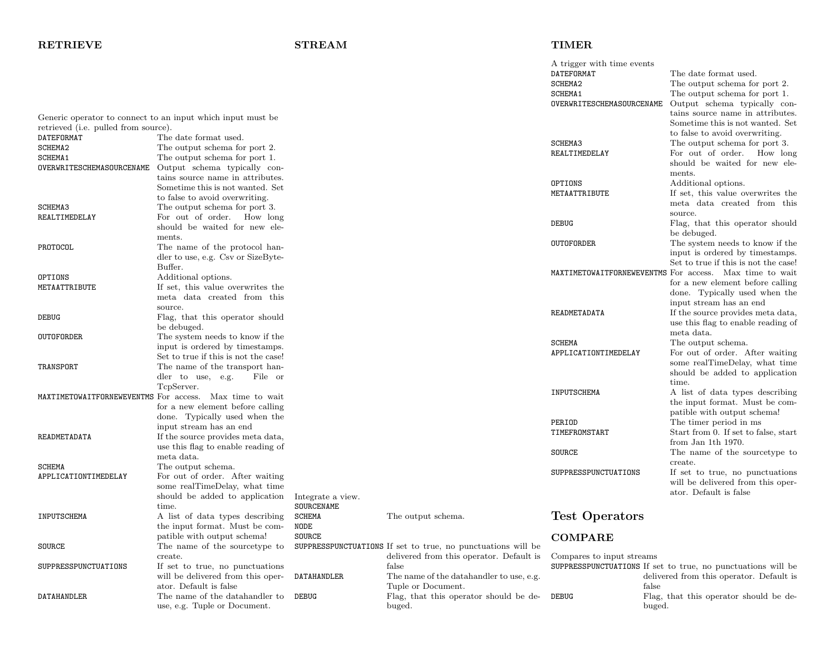## RETRIEVE

## STREAM

## TIMER

|                                      |                                                             |                   |                                                              | A trigger with time events |                                                              |
|--------------------------------------|-------------------------------------------------------------|-------------------|--------------------------------------------------------------|----------------------------|--------------------------------------------------------------|
|                                      |                                                             |                   |                                                              | <b>DATEFORMAT</b>          | The date format used.                                        |
|                                      |                                                             |                   |                                                              | SCHEMA2                    | The output schema for port 2.                                |
|                                      |                                                             |                   |                                                              | SCHEMA1                    | The output schema for port 1.                                |
|                                      |                                                             |                   |                                                              | OVERWRITESCHEMASOURCENAME  | Output schema typically con-                                 |
|                                      |                                                             |                   |                                                              |                            |                                                              |
|                                      | Generic operator to connect to an input which input must be |                   |                                                              |                            | tains source name in attributes.                             |
| retrieved (i.e. pulled from source). |                                                             |                   |                                                              |                            | Sometime this is not wanted. Set                             |
| DATEFORMAT                           | The date format used.                                       |                   |                                                              |                            | to false to avoid overwriting.                               |
|                                      |                                                             |                   |                                                              | SCHEMA3                    | The output schema for port 3.                                |
| SCHEMA2                              | The output schema for port 2.                               |                   |                                                              | REALTIMEDELAY              | For out of order. How long                                   |
| <b>SCHEMA1</b>                       | The output schema for port 1.                               |                   |                                                              |                            | should be waited for new ele-                                |
| OVERWRITESCHEMASOURCENAME            | Output schema typically con-                                |                   |                                                              |                            |                                                              |
|                                      | tains source name in attributes.                            |                   |                                                              |                            | ments.                                                       |
|                                      | Sometime this is not wanted. Set                            |                   |                                                              | OPTIONS                    | Additional options.                                          |
|                                      |                                                             |                   |                                                              | METAATTRIBUTE              | If set, this value overwrites the                            |
|                                      | to false to avoid overwriting.                              |                   |                                                              |                            | meta data created from this                                  |
| <b>SCHEMA3</b>                       | The output schema for port 3.                               |                   |                                                              |                            | source.                                                      |
| REALTIMEDELAY                        | For out of order. How long                                  |                   |                                                              | DEBUG                      |                                                              |
|                                      | should be waited for new ele-                               |                   |                                                              |                            | Flag, that this operator should                              |
|                                      | ments.                                                      |                   |                                                              |                            | be debuged.                                                  |
| PROTOCOL                             | The name of the protocol han-                               |                   |                                                              | OUTOFORDER                 | The system needs to know if the                              |
|                                      | dler to use, e.g. Csv or SizeByte-                          |                   |                                                              |                            | input is ordered by timestamps.                              |
|                                      |                                                             |                   |                                                              |                            | Set to true if this is not the case!                         |
|                                      | Buffer.                                                     |                   |                                                              |                            | MAXTIMETOWAITFORNEWEVENTMS For access. Max time to wait      |
| OPTIONS                              | Additional options.                                         |                   |                                                              |                            |                                                              |
| METAATTRIBUTE                        | If set, this value overwrites the                           |                   |                                                              |                            | for a new element before calling                             |
|                                      | meta data created from this                                 |                   |                                                              |                            | done. Typically used when the                                |
|                                      | source.                                                     |                   |                                                              |                            | input stream has an end                                      |
|                                      | Flag, that this operator should                             |                   |                                                              | READMETADATA               | If the source provides meta data,                            |
| DEBUG                                |                                                             |                   |                                                              |                            | use this flag to enable reading of                           |
|                                      | be debuged.                                                 |                   |                                                              |                            | meta data.                                                   |
| OUTOFORDER                           | The system needs to know if the                             |                   |                                                              |                            |                                                              |
|                                      | input is ordered by timestamps.                             |                   |                                                              | <b>SCHEMA</b>              | The output schema.                                           |
|                                      | Set to true if this is not the case!                        |                   |                                                              | APPLICATIONTIMEDELAY       | For out of order. After waiting                              |
| TRANSPORT                            | The name of the transport han-                              |                   |                                                              |                            | some realTimeDelay, what time                                |
|                                      | dler to use, e.g.<br>File or                                |                   |                                                              |                            | should be added to application                               |
|                                      |                                                             |                   |                                                              |                            | time.                                                        |
|                                      | TcpServer.                                                  |                   |                                                              | INPUTSCHEMA                | A list of data types describing                              |
|                                      | MAXTIMETOWAITFORNEWEVENTMS For access. Max time to wait     |                   |                                                              |                            | the input format. Must be com-                               |
|                                      | for a new element before calling                            |                   |                                                              |                            |                                                              |
|                                      | done. Typically used when the                               |                   |                                                              |                            | patible with output schema!                                  |
|                                      | input stream has an end                                     |                   |                                                              | PERIOD                     | The timer period in ms                                       |
| READMETADATA                         | If the source provides meta data,                           |                   |                                                              | TIMEFROMSTART              | Start from 0. If set to false, start                         |
|                                      | use this flag to enable reading of                          |                   |                                                              |                            | from Jan 1th 1970.                                           |
|                                      |                                                             |                   |                                                              | SOURCE                     | The name of the sourcetype to                                |
|                                      | meta data.                                                  |                   |                                                              |                            | create.                                                      |
| SCHEMA                               | The output schema.                                          |                   |                                                              | SUPPRESSPUNCTUATIONS       | If set to true, no punctuations                              |
| APPLICATIONTIMEDELAY                 | For out of order. After waiting                             |                   |                                                              |                            |                                                              |
|                                      | some realTimeDelay, what time                               |                   |                                                              |                            | will be delivered from this oper-                            |
|                                      | should be added to application                              | Integrate a view. |                                                              |                            | ator. Default is false                                       |
|                                      | time.                                                       | SOURCENAME        |                                                              |                            |                                                              |
|                                      |                                                             |                   |                                                              |                            |                                                              |
| INPUTSCHEMA                          | A list of data types describing                             | SCHEMA            | The output schema.                                           | <b>Test Operators</b>      |                                                              |
|                                      | the input format. Must be com-                              | NODE              |                                                              |                            |                                                              |
|                                      | patible with output schema!                                 | <b>SOURCE</b>     |                                                              | <b>COMPARE</b>             |                                                              |
| SOURCE                               | The name of the sourcetype to                               |                   | SUPPRESSPUNCTUATIONS If set to true, no punctuations will be |                            |                                                              |
|                                      | create.                                                     |                   | delivered from this operator. Default is                     | Compares to input streams  |                                                              |
| SUPPRESSPUNCTUATIONS                 | If set to true, no punctuations                             |                   | false                                                        |                            | SUPPRESSPUNCTUATIONS If set to true, no punctuations will be |
|                                      | will be delivered from this oper-                           | DATAHANDLER       | The name of the data handler to use, e.g.                    |                            | delivered from this operator. Default is                     |
|                                      |                                                             |                   |                                                              |                            |                                                              |
|                                      | ator. Default is false                                      |                   | Tuple or Document.                                           | false                      |                                                              |
| DATAHANDLER                          | The name of the datahandler to                              | DEBUG             | Flag, that this operator should be de-                       | <b>DEBUG</b>               | Flag, that this operator should be de-                       |
|                                      | use, e.g. Tuple or Document.                                |                   | buged.                                                       | buged.                     |                                                              |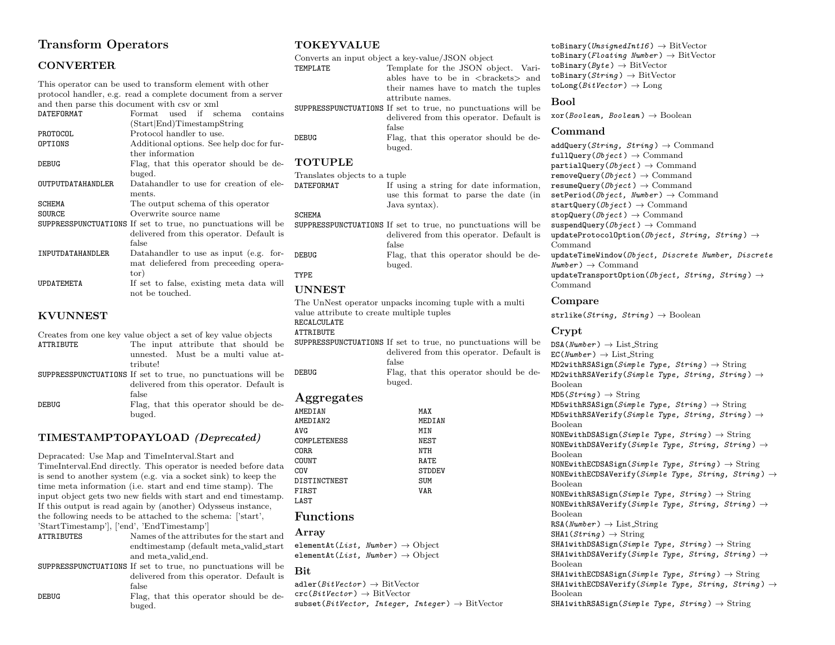## Transform Operators

## CONVERTER

This operator can be used to transform element with other protocol handler, e.g. read a complete document from a server <sup>1</sup><br>and then parse this document with csy or yml

|                          | and their parse this document with esy or xill               | SUPP)       |
|--------------------------|--------------------------------------------------------------|-------------|
| DATEFORMAT               | used if schema<br>$\rm{Format}$<br>contains                  |             |
|                          | (Start End) TimestampString                                  |             |
| PROTOCOL                 | Protocol handler to use.                                     | DEBU        |
| OPTIONS                  | Additional options. See help doc for fur-                    |             |
|                          | ther information                                             |             |
| <b>DEBUG</b>             | Flag, that this operator should be de-                       | TО          |
|                          | buged.                                                       | Tran        |
| <b>OUTPUTDATAHANDLER</b> | Datahandler to use for creation of ele-                      | DATE:       |
|                          | ments.                                                       |             |
| <b>SCHEMA</b>            | The output schema of this operator                           |             |
| <b>SOURCE</b>            | Overwrite source name                                        | <b>SCHE</b> |
|                          | SUPPRESSPUNCTUATIONS If set to true, no punctuations will be | SUPP)       |
|                          | delivered from this operator. Default is                     |             |
|                          | false                                                        |             |
| INPUTDATAHANDLER         | Datahandler to use as input (e.g. for-                       | DEBU        |
|                          | mat deliefered from preceeding opera-                        |             |
|                          | tor)                                                         | TYPE        |
| UPDATEMETA               | If set to false, existing meta data will                     |             |
|                          | not be touched.                                              |             |

#### KVUNNEST

| Creates from one key value object a set of key value objects |                                                              |  |
|--------------------------------------------------------------|--------------------------------------------------------------|--|
| ATTRIBUTE                                                    | The input attribute that should be                           |  |
|                                                              | unnested. Must be a multi value at-                          |  |
|                                                              | tribute!                                                     |  |
|                                                              | SUPPRESSPUNCTUATIONS If set to true, no punctuations will be |  |
|                                                              | delivered from this operator. Default is                     |  |
|                                                              | false                                                        |  |
| DEBUG                                                        | Flag, that this operator should be de-                       |  |
|                                                              | buged.                                                       |  |

### TIMESTAMPTOPAYLOAD (Deprecated)

Depracated: Use Map and TimeInterval.Start and TimeInterval.End directly. This operator is needed before data is send to another system (e.g. via a socket sink) to keep the time meta information (i.e. start and end time stamp). The input object gets two new fields with start and end timestamp. If this output is read again by (another) Odysseus instance, the following needs to be attached to the schema: ['start', 'StartTimestamp'], ['end', 'EndTimestamp'] Names of the attributes for the start and endtimestamp (default meta valid start and meta valid end. SUPPRESSPUNCTUATIONS If set to true, no punctuations will be

delivered from this operator. Default is false DEBUG Flag, that this operator should be debuged.

#### TOKEYVALUE

Converts an input object a key-value/JSON object TEMPLATE Template for the JSON object. Variables have to be in <brackets> and their names have to match the tuples attribute names. SUPPRESSPUNCTUATIONS If set to true, no punctuations will be delivered from this operator. Default is false

DEBUG Flag, that this operator should be debuged.

## **TOTUPLE**

Translates objects to a tuple<br>DATEFORMAT If usi If using a string for date information, use this format to parse the date (in Java syntax).

- SCHEMA
- SUPPRESSPUNCTUATIONS If set to true, no punctuations will be delivered from this operator. Default is false DEBUG Flag, that this operator should be debuged.

## UNNEST

The UnNest operator unpacks incoming tuple with a multi value attribute to create multiple tuples RECALCULATE ATTRIBUTE SUPPRESSPUNCTUATIONS If set to true, no punctuations will be delivered from this operator. Default is false DEBUG Flag, that this operator should be debuged.

### Aggregates

| AMEDIAN      | MAX    |
|--------------|--------|
| AMEDIAN2     | MEDIAN |
| <b>AVG</b>   | MIN    |
| COMPLETENESS | NEST   |
| CORR.        | NTH    |
| COUNT        | RATE   |
| COV          | STDDEV |
| DISTINCTNEST | SUM    |
| FIRST        | VAR.   |
| LAST         |        |

#### Functions

#### Array

elementAt(List, Number)  $\rightarrow$  Object elementAt(List, Number)  $\rightarrow$  Object

#### **Bit**

 $\text{adler}(BitVector) \rightarrow \text{BitVector}$  $\text{crc}(\textit{BitVector}) \rightarrow \text{BitVector}$  $subset(BitVector, Integer, Integer) \rightarrow BitVector$ 

toBinary(UnsignedInt16)  $\rightarrow$  BitVector toBinary(Floating Number)  $\rightarrow$  BitVector toBinary( $Byte$ )  $\rightarrow$  BitVector toBinary( $String$ )  $\rightarrow$  BitVector  $\text{tolong}(BitVector) \rightarrow \text{Long}$ 

#### Bool

 $\mathrm{xor}(Boolean, Boolean) \rightarrow \mathrm{Boolean}$ 

#### Command

 $addQuery(String, String) \rightarrow Command$  $fullQuery(Dbject) \rightarrow Command$ partialQuery( $Object$ )  $\rightarrow$  Command removeQuery( $Object$ )  $\rightarrow$  Command resumeQuery( $Object$ )  $\rightarrow$  Command setPeriod( $\theta$ bject, Number)  $\rightarrow$  Command startQuery( $\theta$ bject)  $\rightarrow$  Command stopQuery( $Object$ )  $\rightarrow$  Command suspendQuery( $Ob\text{ }jet$ )  $\rightarrow$  Command updateProtocolOption(Object, String, String)  $\rightarrow$ Command updateTimeWindow(Object, Discrete Number, Discrete  $Number$ )  $\rightarrow$  Command updateTransportOption(Object, String, String)  $\rightarrow$ Command

#### Compare

strlike(String, String)  $\rightarrow$  Boolean

#### Crypt

 $DSA(Number) \rightarrow List\_{String}$  $EC(Number) \rightarrow List\_String$  $MD2withRSASign(Simple Type, String) \rightarrow String$  $MD2withRSAVerify(Simple Type, String, String) \rightarrow$ Boolean  $MD5(String) \rightarrow String$  $MD5withRSASign(Simple Type, String) \rightarrow String$  $MD5withRSAVerify(Simple Type, String, String) \rightarrow$ Boolean NONEwithDSASign(Simple Type, String)  $\rightarrow$  String NONEwithDSAVerify(Simple Type, String, String)  $\rightarrow$ Boolean NONEwithECDSASign(Simple Type, String)  $\rightarrow$  String NONEwithECDSAVerify(Simple Type, String, String)  $\rightarrow$ Boolean NONEwithRSASign(Simple Type, String)  $\rightarrow$  String NONEwithRSAVerify(Simple Type, String, String)  $\rightarrow$ Boolean  $RSA(Number) \rightarrow List\_String$  $SHA1(Strinq) \rightarrow String$  $SHA1withDSASign(Simple Type, String) \rightarrow String$ SHA1withDSAVerify(Simple Tupe, String, String)  $\rightarrow$ Boolean  $SHA1 with ECDSASign(Simple Type, String) \rightarrow String$ SHA1withECDSAVerify(Simple Type, String, String)  $\rightarrow$ Boolean

SHA1withRSASign(Simple Type, String)  $\rightarrow$  String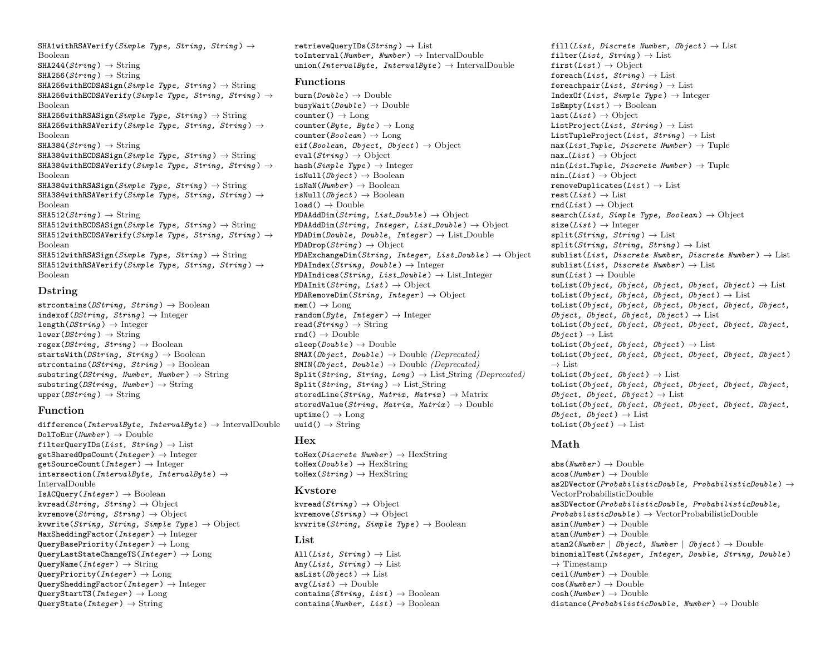SHA1withRSAVerify(Simple Type, String, String)  $\rightarrow$ Boolean  $SHA244(String) \rightarrow String$  $SHA256(String) \rightarrow String$  $SHA256 with ECDSASien(Simple True, String) \rightarrow String$  $SHA256 with ECDSAVerify(Simple, String, String) \rightarrow$ Boolean  $SHA256withRSASign(Simple Type, String) \rightarrow String$ SHA256withRSAVerify(Simple Type, String, String)  $\rightarrow$ Boolean  $SHA384(String) \rightarrow String$  $SHA384with ECDSASign(Simple Type, String) \rightarrow String$ SHA384withECDSAVerify(Simple Type, String, String)  $\rightarrow$ Boolean SHA384withRSASign(Simple Type, String)  $\rightarrow$  String SHA384withRSAVerify(Simple Type, String, String)  $\rightarrow$ Boolean  $SHA512(Strina) \rightarrow String$  $SHA512$ withECDSASign(Simple Type, String)  $\rightarrow$  String SHA512withECDSAVerify(Simple Type, String, String)  $\rightarrow$ Boolean  $SHA512$ withRSASign(Simple Type, String)  $\rightarrow$  String SHA512withRSAVerify(Simple Type, String, String)  $\rightarrow$ Boolean

#### Dstring

strcontains( $DString, String$ )  $\rightarrow$  Boolean indexof( $DString, String$ )  $\rightarrow$  Integer  $length(DString) \rightarrow Integer$  $lower(DString) \rightarrow String$ regex( $DString$ ,  $String$ )  $\rightarrow$  Boolean startsWith( $DString$ ,  $String$ )  $\rightarrow$  Boolean strcontains( $DString, String$ )  $\rightarrow$  Boolean substring(DString, Number, Number)  $\rightarrow$  String  $substring(DString, Number) \rightarrow String$ upper( $DString$ )  $\rightarrow$  String

#### Function

difference(IntervalByte, IntervalByte)  $\rightarrow$  IntervalDouble  $DolToEur(Wumber) \rightarrow Double$ filterQueryIDs(*List*,  $String$ )  $\rightarrow$  List  $getSharedOpsCount(Integer) \rightarrow Integer$ getSourceCount(Integer)  $\rightarrow$  Integer intersection(IntervalByte, IntervalByte)  $\rightarrow$ IntervalDouble  $IsACQuery(Integer) \rightarrow Boolean$ kvread(String, String)  $\rightarrow$  Object kvremove( $String, String$ )  $\rightarrow$  Object kvwrite(String, String, Simple Type)  $\rightarrow$  Object  $MaxSheddingFactor(Integer) \rightarrow Integer$ QueryBasePriority(Integer)  $\rightarrow$  Long  $QueryLastStateChangeTS(Integer) \rightarrow Long$ QueryName(*Integer*)  $\rightarrow$  String QueryPriority(Integer)  $\rightarrow$  Long  $QuerySheddinerFactor(Integer) \rightarrow Integer$  $QueryStartTS(Integer) \rightarrow Long$ QueryState(*Integer*)  $\rightarrow$  String

retrieveQueryIDs( $Strinq$ )  $\rightarrow$  List toInterval(Number, Number)  $\rightarrow$  IntervalDouble union(IntervalByte, IntervalByte)  $\rightarrow$  IntervalDouble

#### Functions

 $burn(Double) \rightarrow Double$ busyWait( $Double$ )  $\rightarrow$  Double  $counter() \rightarrow Long$ counter( $Byte, Byte$ )  $\rightarrow$  Long  $counter(Boolean) \rightarrow \text{Long}$ eif(Boolean, Object, Object)  $\rightarrow$  Object  $eval(String) \rightarrow Object$ hash(Simple Type)  $\rightarrow$  Integer isNull( $Object$ )  $\rightarrow$  Boolean  $isNAN(Number) \rightarrow Boolean$ isNull( $Object$ )  $\rightarrow$  Boolean  $load() \rightarrow Double$  $MDAAddDim(String, ListDouble) \rightarrow Object$  $MDAAddDim(Striangle, Integer, ListDouble) \rightarrow Object$  $MDADim(Double, Double, Integer) \rightarrow List\_Double$  $MDADrop(String) \rightarrow Object$  $MDAExchangeDim(Striangle, Integer, List\_Double) \rightarrow Object$  $MDAIndex(String, Double) \rightarrow Integer$  $MDAIndices(String, List\_Double) \rightarrow List\_Integer$  $MDAInit(String, List) \rightarrow Object$  $MDARemoveDim(String, Integer) \rightarrow Object$  $\text{mem}() \rightarrow \text{Long}$ random( $Byte, Integer$ )  $\rightarrow$  Integer  $read(String) \rightarrow String$  $rnd() \rightarrow Double$  $sleep(Double) \rightarrow Double$  $\texttt{SMAX}(Object, Double) \rightarrow \text{Double}(Denrecated)$  $SMIN(Object, Double) \rightarrow Double (Deprecated)$  $Split(String, String, Long) \rightarrow ListString (Deprecated)$  $\text{Split}(String, String) \rightarrow \text{List}.\text{String}$ storedLine(String, Matrix, Matrix)  $\rightarrow$  Matrix storedValue(String, Matrix, Matrix)  $\rightarrow$  Double  $uptime() \rightarrow Long$ uuid $() \rightarrow$  String

#### Hex

toHex(*Discrete Number*)  $\rightarrow$  HexString toHex( $Double$ )  $\rightarrow$  HexString  $\text{toHex}(String) \rightarrow \text{HexString}$ 

#### Kvstore

kvread( $String$ )  $\rightarrow$  Object kvremove $(String) \rightarrow$  Object kvwrite(String, Simple Type)  $\rightarrow$  Boolean

#### List

All $(List, String) \rightarrow List$ Any(List, String)  $\rightarrow$  List asList( $Object$ )  $\rightarrow$  List  $avg(List) \rightarrow Double$ contains( $String$ ,  $List$ )  $\rightarrow$  Boolean contains( $Number, List$ )  $\rightarrow$  Boolean

fill(List, Discrete Number, Object)  $\rightarrow$  List filter(List, String)  $\rightarrow$  List first(List)  $\rightarrow$  Object foreach(List, String)  $\rightarrow$  List foreachpair(List, String)  $\rightarrow$  List IndexOf(List, Simple Type)  $\rightarrow$  Integer  $IsEmpty(List) \rightarrow Boolean$  $last(List) \rightarrow Object$ ListProject(List, String)  $\rightarrow$  List ListTupleProject(List,  $String$ )  $\rightarrow$  List  $max(List\_Tuple, Discrete Number) \rightarrow Tuple$  $max(List) \rightarrow Object$  $min(List_{\textit{.}}{Tuple}, \textit{Discrete Number}) \rightarrow Tuple$  $min_{\text{max}}(List) \rightarrow Object$ removeDuplicates( $List$ )  $\rightarrow$  List  $rest(List) \rightarrow List$  $rnd(List) \rightarrow Object$ search(List, Simple Type, Boolean)  $\rightarrow$  Object  $size(List) \rightarrow Integer$  $split(String, String) \rightarrow List$  $split(String, String, String) \rightarrow List$ sublist(List, Discrete Number, Discrete Number)  $\rightarrow$  List  $sublist(List, Discrete Number) \rightarrow List$  $sum(List) \rightarrow Double$ toList(Object, Object, Object, Object, Object)  $\rightarrow$  List toList(Object, Object, Object, Object)  $\rightarrow$  List toList(Object, Object, Object, Object, Object, Object, Object, Object, Object, Object)  $\rightarrow$  List toList(Object, Object, Object, Object, Object, Object,  $Ob\text{ } iect$  )  $\rightarrow$  List toList(Object, Object, Object)  $\rightarrow$  List toList(Object, Object, Object, Object, Object, Object )  $\rightarrow$  List toList( $Object, Object$ )  $\rightarrow$  List toList(Object, Object, Object, Object, Object, Object, Object, Object, Object)  $\rightarrow$  List toList(Object, Object, Object, Object, Object, Object,  $Object, Object) \rightarrow List$ toList( $\theta$ bject)  $\rightarrow$  List

## Math

 $abs(Number) \rightarrow Double$  $\text{acos}(Number) \rightarrow \text{Double}$ as2DVector( $Probabilityt$ istic $Double$ ,  $Probabilityt$ icDouble)  $\rightarrow$ VectorProbabilisticDouble as3DVector(ProbabilisticDouble, ProbabilisticDouble,  $ProbabilityisticDouble \rightarrow VectorProbabilisticDouble$  $\text{asin}(Number) \rightarrow \text{Double}$  $atan(Number) \rightarrow Double$ atan2(Number | Object, Number | Object)  $\rightarrow$  Double binomialTest(Integer, Integer, Double, String, Double )  $\rightarrow$  Timestamp  $ceil(Number) \rightarrow Double$  $cos(Number) \rightarrow Double$  $cosh(Number) \rightarrow Double$ distance( $ProbabilityticDouble$ , Number)  $\rightarrow$  Double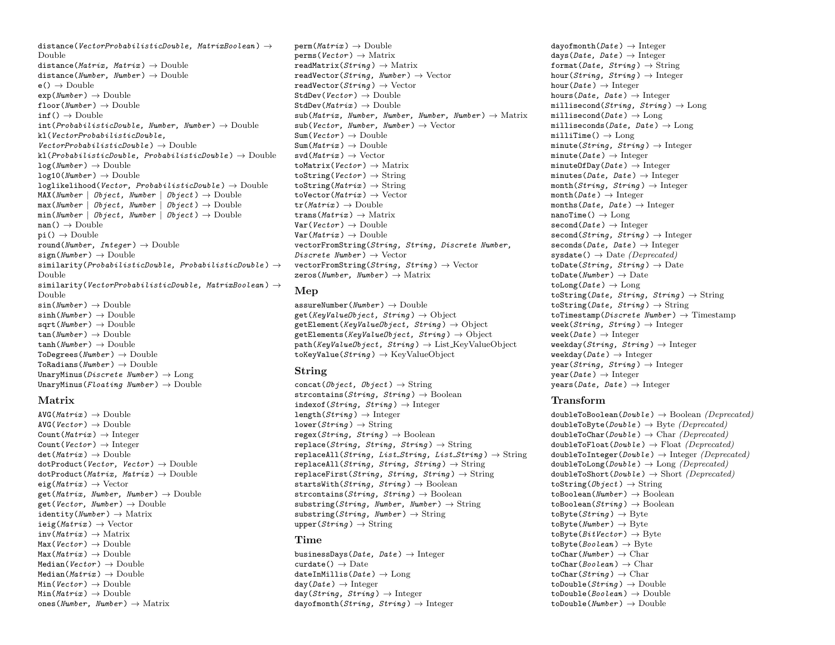distance(VectorProbabilisticDouble, MatrixBoolean)  $\rightarrow$ Double distance(Matrix, Matrix)  $\rightarrow$  Double distance(Number, Number)  $\rightarrow$  Double  $e() \rightarrow Double$  $exp(Number) \rightarrow Double$  $floor(Number) \rightarrow Double$  $\inf() \rightarrow$  Double  $int(ProbabilityticDouble, Number, Number) \rightarrow Double$ kl(VectorProbabilisticDouble,  $VectorProbabilityisticDouble \rightarrow Double$  $kl(ProbabilisticDouble, ProbabilisticDouble) \rightarrow Double$  $log(Number) \rightarrow Double$  $log10(Number) \rightarrow Double$  $loglikelihood(Vector, ProbabilisticDouble) \rightarrow Double$ MAX(Number | Object, Number | Object)  $\rightarrow$  Double  $max(Number | Object, Number | Object) \rightarrow Double$  $min(Number \mid Object, Number \mid Object) \rightarrow Double$  $nan() \rightarrow Double$  $pi() \rightarrow Double$ round(Number, Integer)  $\rightarrow$  Double  $sign(Number) \rightarrow Double$ similarity( $Probability(Probability(1)$ Double similarity(VectorProbabilisticDouble, MatrixBoolean)  $\rightarrow$ Double  $sin(Number) \rightarrow Double$  $sinh(Number) \rightarrow Double$  $sqrt(Mumber) \rightarrow Double$  $tan(Number) \rightarrow Double$  $tanh(Wumber) \rightarrow Double$  $ToDegrees(Number) \rightarrow Double$ ToRadians( $Number$ )  $\rightarrow$  Double UnaryMinus(*Discrete Number*)  $\rightarrow$  Long UnaryMinus(Floating Number)  $\rightarrow$  Double

#### Matrix

 $AVG(Matrix) \rightarrow Double$  $AVG(Vector) \rightarrow Double$ Count(Matrix)  $\rightarrow$  Integer Count(Vector)  $\rightarrow$  Integer  $\det(Matrix) \rightarrow \text{Double}$  $dotProduct(Vector, Vector) \rightarrow Double$  $dotPreduct(Matrix, Matrix) \rightarrow Double$  $eig(Matrix) \rightarrow Vector$  $get(Matrix, Number, Number) \rightarrow Double$ get(Vector, Number)  $\rightarrow$  Double identity( $Number$ )  $\rightarrow$  Matrix  $ieig(Matrix) \rightarrow Vector$  $inv(Matrix) \rightarrow Matrix$  $\text{Max}(Vector) \rightarrow \text{Double}$  $Max(Matrix) \rightarrow Double$ Median( $Vector$ )  $\rightarrow$  Double  $Median(Matrix) \rightarrow Double$  $Min(Vector) \rightarrow Double$  $Min(Matrix) \rightarrow Double$ ones(Number, Number)  $\rightarrow$  Matrix

 $perm(Matrix) \rightarrow Double$  $perms(Vector) \rightarrow Matrix$ readMatrix( $String$ )  $\rightarrow$  Matrix readVector( $String$ , Number)  $\rightarrow$  Vector  $readVector(String) \rightarrow Vector$  $StdDev(Vector) \rightarrow Double$  $StdDev(Matrix) \rightarrow Double$  $sub(Matrix, Number, Number, Number, Number, Number) \rightarrow Matrix$  $sub(Vector, Number, Number) \rightarrow Vector$  $Sum(Vector) \rightarrow Double$  $Sum(Matrix) \rightarrow Double$  $\text{svd}(Matrix) \rightarrow \text{Vector}$ toMatrix(Vector)  $\rightarrow$  Matrix toString(Vector)  $\rightarrow$  String  $\text{toString}(Matrix) \rightarrow String$ toVector( $Matrix$ )  $\rightarrow$  Vector  $tr(Matrix) \rightarrow$  Double  $trans(Matrix) \rightarrow Matrix$  $Var(Vector) \rightarrow Double$  $Var(Matrix) \rightarrow Double$ vectorFromString(String, String, Discrete Number, Discrete Number  $) \rightarrow$  Vector vectorFromString(String, String)  $\rightarrow$  Vector zeros(Number, Number)  $\rightarrow$  Matrix

#### Mep

assureNumber( $Number$ )  $\rightarrow$  Double get(KeyValueObject, String)  $\rightarrow$  Object  $getElement(KeyValueObject, String) \rightarrow Object$  $getElements(KeyValueObject, String) \rightarrow Object$  $path(KeyValueObject, String) \rightarrow ListKeyValueObject$  $\text{toKeyValue}(String) \rightarrow \text{KeyValueObject}$ 

#### String

concat( $\theta$ bject,  $\theta$ bject)  $\rightarrow$  String strcontains( $String, String$ )  $\rightarrow$  Boolean indexof(String, String)  $\rightarrow$  Integer  $\text{length}(String) \rightarrow \text{Integer}$  $lower(String) \rightarrow String$ regex(String, String)  $\rightarrow$  Boolean  $replace(String, String, String) \rightarrow String$ replaceAll(String, List\_String, List\_String)  $\rightarrow$  String replaceAll(String, String, String)  $\rightarrow$  String replaceFirst(String, String, String)  $\rightarrow$  String startsWith(String, String)  $\rightarrow$  Boolean strcontains( $String, String$ )  $\rightarrow$  Boolean substring(String, Number, Number)  $\rightarrow$  String  $substring(String, Number) \rightarrow String$ upper( $String$ )  $\rightarrow$  String

#### Time

businessDays( $Date$ ,  $Date$ )  $\rightarrow$  Integer  $curdate() \rightarrow Date$ dateInMillis( $Date$ )  $\rightarrow$  Long  $day(Date) \rightarrow Integer$  $day(String, String) \rightarrow Integer$ dayofmonth( $String, String$ )  $\rightarrow$  Integer

 $davofmonth(Date) \rightarrow Inteer$ days( $\textit{Date}$ ,  $\textit{Date}$ )  $\rightarrow$  Integer format(Date, String)  $\rightarrow$  String hour(String, String)  $\rightarrow$  Integer hour( $Date$ )  $\rightarrow$  Integer hours( $Date$ ,  $Date$ )  $\rightarrow$  Integer millisecond(String, String)  $\rightarrow$  Long millisecond( $Date$ )  $\rightarrow$  Long milliseconds( $Date$ ,  $Date$ )  $\rightarrow$  Long  $m$ illiTime()  $\rightarrow$  Long minute(String, String)  $\rightarrow$  Integer  $minute(Date) \rightarrow Integer$  $minuteOfDay(*Date*) \rightarrow Integer$ minutes( $Date$ ,  $Date$ )  $\rightarrow$  Integer  $month(String, String) \rightarrow Integer$  $month(Date) \rightarrow Integer$ months( $Date$ ,  $Date$ )  $\rightarrow$  Integer  $nanofime() \rightarrow Long$  $second(Date) \rightarrow Integer$  $second(String, String) \rightarrow Integer$ seconds( $Date, Date$ )  $\rightarrow$  Integer  $systate() \rightarrow Date (Deprecated)$ toDate(String, String)  $\rightarrow$  Date  $\text{toDate}(Number) \rightarrow \text{Date}$  $\text{toLong}(Date) \rightarrow \text{Long}$ toString(Date, String, String)  $\rightarrow$  String toString(Date,  $String$ )  $\rightarrow$  String toTimestamp(*Discrete Number*)  $\rightarrow$  Timestamp week( $String, String$ )  $\rightarrow$  Integer  $\text{week}(Date) \rightarrow \text{Integer}$ weekday( $String, String$ )  $\rightarrow$  Integer weekday( $\text{Date}$ )  $\rightarrow$  Integer year(String, String)  $\rightarrow$  Integer  $year(Date) \rightarrow Integer$  $\text{years}(Date, Date) \rightarrow \text{Integer}$ 

#### Transform

doubleToBoolean( $Double$ )  $\rightarrow$  Boolean ( $Deprecated$ )  $doubleToByte(Double) \rightarrow Bvte(Denrecated)$  $doubleToChar(Double) \rightarrow Char(Deprecated)$  $doubleToFloat(Double) \rightarrow Float(Deprecated)$  $doubleToInteger(Double) \rightarrow Integer(Deprecated)$  $doubleToLong(Double) \rightarrow Long(Deprecated)$  $doubleToShort(Double) \rightarrow Short(Deprecated)$ toString( $Object$ )  $\rightarrow$  String toBoolean( $Number$ )  $\rightarrow$  Boolean toBoolean( $String$ )  $\rightarrow$  Boolean  $toByte(String) \rightarrow Byte$  $toByte(Number) \rightarrow Byte$  $\texttt{toByte}(BitVector) \rightarrow \text{Byte}$  $to$ Byte(*Boolean*)  $\rightarrow$  Byte  $toChar(Wumber) \rightarrow Char$ toChar(Boolean)  $\rightarrow$  Char  $toChar(Strina) \rightarrow Char$  $toDouble(String) \rightarrow Double$  $toDouble(Boolean) \rightarrow Double$  $toDouble(Number) \rightarrow Double$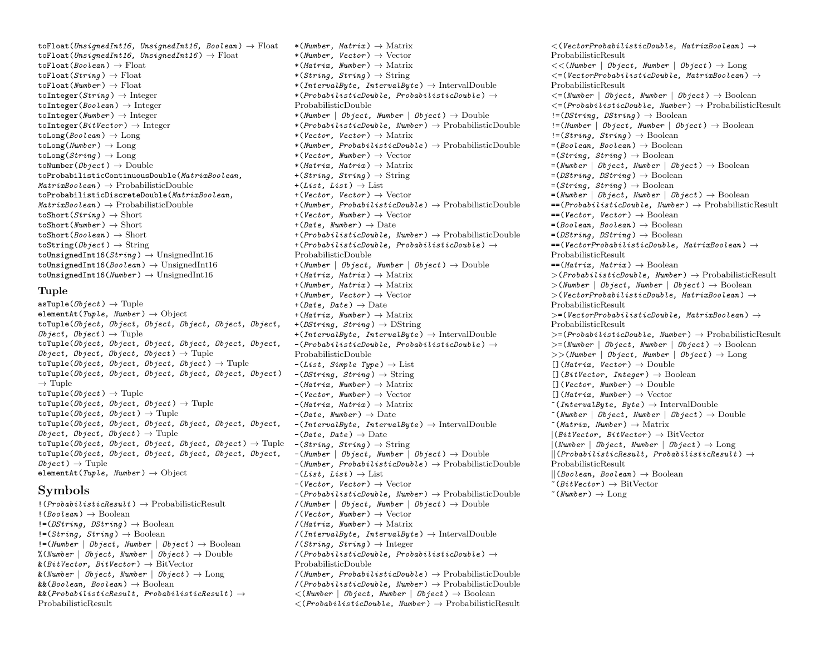toFloat(UnsignedInt16, UnsignedInt16, Boolean)  $\rightarrow$  Float toFloat(UnsignedInt16, UnsignedInt16)  $\rightarrow$  Float toFloat(Boolean)  $\rightarrow$  Float toFloat( $String$ )  $\rightarrow$  Float toFloat(Number)  $\rightarrow$  Float toInteger( $String$ )  $\rightarrow$  Integer toInteger(Boolean)  $\rightarrow$  Integer  $toInter(Number) \rightarrow Integer$ toInteger( $BitVector$ )  $\rightarrow$  Integer  $\text{tolong}(Boolean) \rightarrow$  Long  $\text{tolong}(Number) \rightarrow \text{Long}$  $\text{tolong}(String) \rightarrow \text{Long}$ toNumber( $Object$ )  $\rightarrow$  Double toProbabilisticContinuousDouble(MatrixBoolean,  $MatrixBoolean$  )  $\rightarrow$  ProbabilisticDouble toProbabilisticDiscreteDouble(MatrixBoolean,  $MatrixBoolean$   $\rightarrow$  ProbabilisticDouble toShort( $String$ )  $\rightarrow$  Short  $toShort(Number) \rightarrow Short$ toShort(Boolean)  $\rightarrow$  Short toString( $Object$ )  $\rightarrow$  String toUnsignedInt16( $String$ )  $\rightarrow$  UnsignedInt16 toUnsignedInt16(Boolean)  $\rightarrow$  UnsignedInt16 toUnsignedInt16( $Number$ )  $\rightarrow$  UnsignedInt16

#### Tuple

 $\text{asTuple}(\textit{Object}) \rightarrow \text{Tuple}$ elementAt(Tuple, Number)  $\rightarrow$  Object toTuple(Object, Object, Object, Object, Object, Object,  $Object, Object) \rightarrow \text{Tuple}$ toTuple(Object, Object, Object, Object, Object, Object,  $Object, Object, Object, Object, Object) \rightarrow \text{Tuple}$ toTuple(Object, Object, Object, Object)  $\rightarrow$  Tuple toTuple(Object, Object, Object, Object, Object, Object )  $\rightarrow$  Tuple  $toTuple(\textit{Object}) \rightarrow Tuple$ toTuple( $Object$ ,  $Object$ ,  $Object$ )  $\rightarrow$  Tuple toTuple( $\mathit{Object}, \mathit{Object}$ )  $\rightarrow$  Tuple toTuple(Object, Object, Object, Object, Object, Object,  $Object, Object, Object) \rightarrow \text{Tuple}$ toTuple(Object, Object, Object, Object, Object)  $\rightarrow$  Tuple  $\hspace{0.3cm}$  -(String, String)  $\rightarrow$  String toTuple(Object, Object, Object, Object, Object, Object,  $Object$ )  $\rightarrow$  Tuple elementAt(Tuple, Number)  $\rightarrow$  Object

## Symbols

 $!(ProbabilityticeResult) \rightarrow ProbabilityResult$  $!(\text{Boolean}) \rightarrow \text{Boolean}$  $!=$ (DString, DString)  $\rightarrow$  Boolean  $!=$ (String, String)  $\rightarrow$  Boolean  $!=$ (Number | Object, Number | Object)  $\rightarrow$  Boolean %(Number  $\mid$  Object, Number  $\mid$  Object)  $\rightarrow$  Double  $\&(BitVector, BitVector) \rightarrow BitVector$  $\&$ (Number | Object, Number | Object)  $\rightarrow$  Long  $&&(Boolean, Boolean) \rightarrow Boolean$  $\&(ProbabilisticResult, ProbabilisticResult) \rightarrow$ ProbabilisticResult

\*(*Number, Matrix*)  $\rightarrow$  Matrix \*(Number, Vector)  $\rightarrow$  Vector \*(Matrix, Number)  $\rightarrow$  Matrix  $*(String, String) \rightarrow String$ \*(IntervalByte, IntervalByte)  $\rightarrow$  IntervalDouble \*( $ProbabilityisticDouble, ProbabilisticDouble) \rightarrow$ ProbabilisticDouble \*(Number | Object, Number | Object)  $\rightarrow$  Double \*( $ProbabilityticDouble$ , Number)  $\rightarrow$  ProbabilisticDouble \*(Vector, Vector)  $\rightarrow$  Matrix \*(Number, ProbabilisticDouble)  $\rightarrow$  ProbabilisticDouble \*(Vector, Number)  $\rightarrow$  Vector \*(Matrix, Matrix)  $\rightarrow$  Matrix  $+(String, String) \rightarrow String$  $+(List, List) \rightarrow List$ +(Vector, Vector)  $\rightarrow$  Vector  $+(Number. ProbabilisticDouble) \rightarrow ProbabilisticDouble$ +(Vector, Number)  $\rightarrow$  Vector +(Date, Number)  $\rightarrow$  Date  $+$ (ProbabilisticDouble, Number)  $\rightarrow$  ProbabilisticDouble +(ProbabilisticDouble, ProbabilisticDouble)  $\rightarrow$ ProbabilisticDouble +(Number | Object, Number | Object)  $\rightarrow$  Double +(Matrix, Matrix)  $\rightarrow$  Matrix +(Number, Matrix)  $\rightarrow$  Matrix  $+(Number, Vector) \rightarrow Vector$  $+(Date, Date) \rightarrow Date$  $+(Matrix, Number) \rightarrow Matrix$ +(DString, String)  $\rightarrow$  DString  $+(IntervalByte, IntervalByte) \rightarrow IntervalDouble$  $-(ProbabilityticDouble, ProbabilisticDouble) \rightarrow$ ProbabilisticDouble  $-(List, SimpleType) \rightarrow List$  $-(DString, String) \rightarrow String$  $-(\text{Matrix}, \text{Number}) \rightarrow \text{Matrix}$  $-(Vector. Number) \rightarrow Vector$  $-(\text{Matrix}, \text{Matrix}) \rightarrow \text{Matrix}$  $-(\text{Date}, \text{Number}) \rightarrow \text{Date}$  $-(IntervalByte, IntervalBute) \rightarrow IntervalDouble$  $-(\text{Date}, \text{Date}) \rightarrow \text{Date}$  $-(Number \mid Object, Number \mid Object) \rightarrow Double$  $-(Number. ProbabilisticDouble) \rightarrow ProbabilisticDouble$  $-(List, List) \rightarrow List$  $-(Vector, Vector) \rightarrow Vector$  $-(ProbabilityticDouble, Number) \rightarrow ProbabilityDouble$ /(Number | Object, Number | Object)  $\rightarrow$  Double  $/(Vector, Number) \rightarrow Vector$  $/(Matrix, Number) \rightarrow Matrix$  $/(IntervalByte, \ IntervalByte) \rightarrow \ IntervalDouble$  $/(String, String) \rightarrow Integer$  $/(ProbabilisticDouble, ProbabilisticDouble) \rightarrow$ ProbabilisticDouble  $/(Number. ProbabilisticDouble) \rightarrow ProbabilisticDouble$  $/(ProbabilisticDouble, Number) \rightarrow ProbabilisticDouble$  $\lt$ (Number | Object, Number | Object)  $\rightarrow$  Boolean  $<(ProbabilityticDouble, Number) \rightarrow ProbabilityResult$ 

 $\langle$ (VectorProbabilisticDouble, MatrixBoolean)  $\rightarrow$ ProbabilisticResult  $<<$ (Number | Object, Number | Object)  $\rightarrow$  Long  $\lt$  = (Vector Probabilistic Double, Matrix Boolean)  $\rightarrow$ ProbabilisticResult  $\lt$  = (Number | Object, Number | Object)  $\rightarrow$  Boolean  $\langle$ =(ProbabilisticDouble, Number)  $\rightarrow$  ProbabilisticResult  $!=$ (DString, DString)  $\rightarrow$  Boolean  $!=$ (Number | Object, Number | Object)  $\rightarrow$  Boolean  $!=$ (String, String)  $\rightarrow$  Boolean  $=(Boolean, Boolean) \rightarrow Boolean$  $=(String, String) \rightarrow Boolean$  $=(Number \mid Object, Number \mid Object) \rightarrow Boolean$  $=(DString, DString) \rightarrow Boolean$  $=(String, String) \rightarrow Boolean$  $=(Number \mid Object, Number \mid Object) \rightarrow Boolean$  $==(ProbabilityisticDouble, Number) \rightarrow ProbabilityResult$  $==(Vector, Vector) \rightarrow Boolean$  $=(Boolean, Boolean) \rightarrow Boolean$  $=(DString, DString) \rightarrow Boolean$  $==(VectorProbabilityisticDouble, MatrixBoolean) \rightarrow$ ProbabilisticResult  $==(Matrix, Matrix) \rightarrow Boolean$  $>(ProbabilityiticDouble, Number) \rightarrow ProbabilityResult$  $>(Number \mid Object, Number \mid Object) \rightarrow Boolean$  $>(Vector ProbabilityisticDouble, MatrixBoolean) \rightarrow$ ProbabilisticResult  $>=$ (VectorProbabilisticDouble, MatrixBoolean)  $\rightarrow$ ProbabilisticResult  $>=$ (ProbabilisticDouble, Number)  $\rightarrow$  ProbabilisticResult  $>=$ (Number | Object, Number | Object)  $\rightarrow$  Boolean  $>>(Number \mid Object, Number \mid Object) \rightarrow Long$  $[1(Matrix, Vector) \rightarrow Double]$  $[]$ (BitVector, Integer)  $\rightarrow$  Boolean  $[1(Vector, Number) \rightarrow Double]$  $[1(Matrix, Number) \rightarrow Vector$  $\hat{}(IntervalByte, Byte) \rightarrow IntervalDouble$  $\hat{\text{(Number}} \mid \text{Object}, \text{Number} \mid \text{Object}) \rightarrow \text{Double}$  $\hat{\ }$ (Matrix, Number)  $\rightarrow$  Matrix  $|(BitVector, BitVector) \rightarrow BitVector$  $|(Number | Object, Number | Object) \rightarrow Long$  $||(Probability of the result, ProbabilisticResult) \rightarrow$ ProbabilisticResult  $|| (Boolean, Boolean) \rightarrow Boolean$  $\tilde{\phantom{a}}(BitVector) \rightarrow \text{BitVector}$  $\tilde{}(Number) \rightarrow$  Long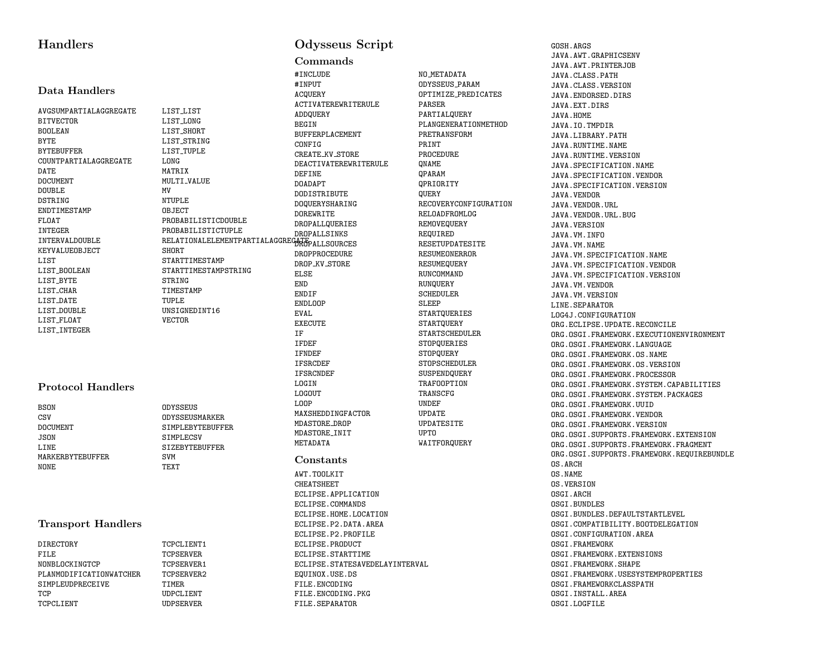## **Handlers**

#### Data Handlers

BITVECTOR BOOLEAN BYTE BYTEBUFFER COUNTPARTIALAGGREGATE DATE DOCUMENT DOUBLE DSTRING **ENDTIMESTAMP** FLOAT INTEGER INTERVALDOUBLE KEYVALUEOBJECT LIST LIST BOOLEAN LIST\_BYTE LIST CHAR LIST DATE LIST DOUBLE LIST FLOAT

#### AVGSUMPARTIALAGGREGATE LIST LIST LIST LONG LIST\_SHORT LIST\_STRING LIST TUPLE LONG MATRIX MULTI\_VALUE MV NTUPLE OBJECT PROBABILISTICDOUBLE PROBABILISTICTUPLE SHORT STARTTIMESTAMP STARTTIMESTAMPSTRING STRING TIMESTAMP TUPLE UNSIGNEDINT16 VECTOR

#### Protocol Handlers

LIST INTEGER

| BSON             | ODYSSEUS              |
|------------------|-----------------------|
| CSV              | ODYSSEUSMARKER        |
| DOCUMENT         | SIMPLEBYTEBUFFER      |
| JSON.            | SIMPLECSV             |
| L.TNE            | <b>STZERYTERUFFER</b> |
| MARKERRYTERUFFER | SVM                   |
| NONE.            | TEXT                  |
|                  |                       |

#### Transport Handlers

| DIRECTORY               | TCPCLIENT1       |
|-------------------------|------------------|
| FILE                    | <b>TCPSERVER</b> |
| NONBLOCKINGTCP          | TCPSERVER1       |
| PLANMODIFICATIONWATCHER | TCPSERVER2       |
| SIMPLEUDPRECEIVE        | TTMER.           |
| TCP                     | UDPCLIENT        |
| TCPCLIENT               | <b>UDPSERVER</b> |
|                         |                  |

## Odysseus Script

#### Commands

RELATIONALELEMENTPARTIALAGGREGATE<br>------#INCLUDE #INPUT ACQUERY ACTIVATEREWRITERULE ADDQUERY BEGIN BUFFERPLACEMENT CONFIG CREATE KV STORE DEACTIVATEREWRITERULE DEFINE DOADAPT **DODISTRIBUTE** DOQUERYSHARING DOREWRITE DROPALLQUERIES DROPALLSINKS DROPPROCEDURE DROP KV STORE ELSE END **ENDIF** ENDL00P EVAL EXECUTE IF IFDEF IFNDEF IFSRCDEF IFSRCNDEF LOGIN LOGOUT LOOP MAXSHEDDINGFACTOR MDASTORE DROP MDASTORE INIT METADATA Constants AWT.TOOLKIT CHEATSHEET ECLIPSE.APPLICATION ECLIPSE.COMMANDS ECLIPSE.HOME.LOCATION ECLIPSE.P2.DATA.AREA ECLIPSE.P2.PROFILE ECLIPSE.PRODUCT ECLIPSE.STARTTIME ECLIPSE.STATESAVEDELAYINTERVAL EQUINOX.USE.DS FILE.ENCODING FILE.ENCODING.PKG

FILE.SEPARATOR

NO METADATA ODYSSEUS PARAM OPTIMIZE PREDICATES PARSER PARTIALQUERY PLANGENERATIONMETHOD PRETRANSFORM PRINT PROCEDURE QNAME QPARAM QPRIORITY **QUERY** RECOVERYCONFIGURATION RELOADFROMLOG REMOVEQUERY REQUIRED RESETUPDATESITE RESUMEONERROR RESUMEQUERY RUNCOMMAND RUNQUERY SCHEDULER SLEEP STARTQUERIES **STARTQUERY** STARTSCHEDULER STOPQUERIES **STOPQUERY STOPSCHEDULER** SUSPENDQUERY TRAFOOPTION TRANSCFG UNDEF UPDATE UPDATESITE UPTO WAITFORQUERY

GOSH.ARGS JAVA.AWT.GRAPHICSENV JAVA.AWT.PRINTERJOB JAVA.CLASS.PATH JAVA.CLASS.VERSION JAVA.ENDORSED.DIRS JAVA.EXT.DIRS JAVA.HOME JAVA.IO.TMPDIR JAVA.LIBRARY.PATH JAVA.RUNTIME.NAME JAVA.RUNTIME.VERSION JAVA.SPECIFICATION.NAME JAVA.SPECIFICATION.VENDOR JAVA.SPECIFICATION.VERSION JAVA.VENDOR JAVA.VENDOR.URL JAVA.VENDOR.URL.BUG JAVA.VERSION JAVA.VM.INFO JAVA.VM.NAME JAVA.VM.SPECIFICATION.NAME JAVA.VM.SPECIFICATION.VENDOR JAVA.VM.SPECIFICATION.VERSION JAVA.VM.VENDOR JAVA.VM.VERSION LINE.SEPARATOR LOG4J.CONFIGURATION ORG.ECLIPSE.UPDATE.RECONCILE ORG.OSGI.FRAMEWORK.EXECUTIONENVIRONMENT ORG.OSGI.FRAMEWORK.LANGUAGE ORG.OSGI.FRAMEWORK.OS.NAME ORG.OSGI.FRAMEWORK.OS.VERSION ORG.OSGI.FRAMEWORK.PROCESSOR ORG.OSGI.FRAMEWORK.SYSTEM.CAPABILITIES ORG.OSGI.FRAMEWORK.SYSTEM.PACKAGES ORG.OSGI.FRAMEWORK.UUID ORG.OSGI.FRAMEWORK.VENDOR ORG.OSGI.FRAMEWORK.VERSION ORG.OSGI.SUPPORTS.FRAMEWORK.EXTENSION ORG.OSGI.SUPPORTS.FRAMEWORK.FRAGMENT ORG.OSGI.SUPPORTS.FRAMEWORK.REQUIREBUNDLE OS.ARCH OS.NAME OS.VERSION OSGI.ARCH OSGI.BUNDLES OSGI.BUNDLES.DEFAULTSTARTLEVEL OSGI.COMPATIBILITY.BOOTDELEGATION OSGI.CONFIGURATION.AREA OSGI.FRAMEWORK OSGI.FRAMEWORK.EXTENSIONS OSGI.FRAMEWORK.SHAPE OSGI.FRAMEWORK.USESYSTEMPROPERTIES OSGI.FRAMEWORKCLASSPATH OSGI.INSTALL.AREA OSGI.LOGFILE